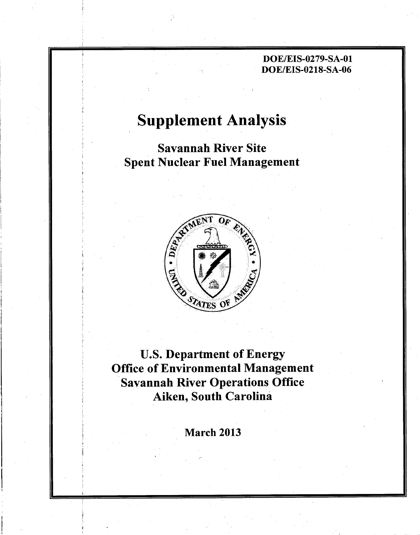# Supplement Analysis

Savannah River Site Spent Nuclear Fuel Management



U.S. Department of Energy Office of Environmental Management Savannah River Operations Office Aiken, South Carolina

March 2013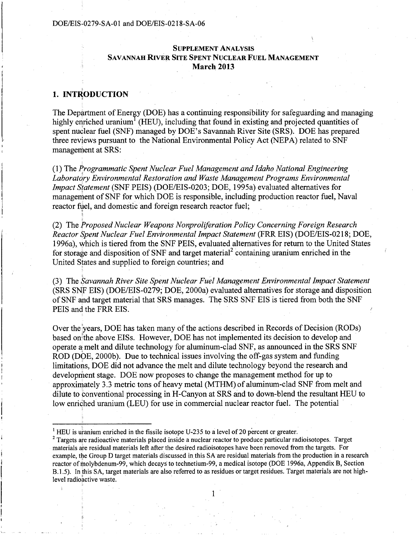## SUPPLEMENT ANALYSIS SAVANNAH RIVER SITE SPENT NUCLEAR FUEL MANAGEMENT March 2013

## 1. INTRODUCTION

i

I'

The Department of Energy (DOE) has a continuing responsibility for safeguarding and managing highly enriched uranium<sup>1</sup> (HEU), including that found in existing and projected quantities of spent nuclear fuel (SNF) managed by DOE's Savannah River Site (SRS). DOE has prepared three revjews pursuant to the National Environmental Policy Act (NEPA) related to SNF management at SRS:

(1) The *J:rogrammatic Spent Nuclear Fuel Management and Idaho National Engineering Laboratory Environmental Restoration and Waste Management Programs Environmental* <sup>I</sup> *Impact Statement* (SNF PEIS) (DOE/EIS-0203; DOE, 1995a) evaluated alternatives for management of SNF for which DOE is responsible, including production reactor fuel, Naval reactor fuel, and domestic and foreign research reactor fuel;

(2) The *froposed Nuclear Weapons Nonproliferation Policy Concerning Foreign Research Reactor Spent Nuclear Fuel Environmental Impact Statement* (FRR EIS) (DOE/EIS-0218; DOE, 1996a), which is tiered from the SNF PEIS, evaluated alternatives for return to the United States for storage and disposition of SNF and target material<sup>2</sup> containing uranium enriched in the United states and supplied to foreign countries; and

(3) The *Savannah River Site Spent Nuclear Fuel Management Environmental Impact Statement*  (SRS SNF EIS) (DOE/EIS-0279; DOE, 2000a) evaluated alternatives for storage and disposition of SNF and target material that SRS manages. The SRS SNF EIS is tiered from both the SNF PEIS and the FRR EIS.

Over the years, DOE has taken many of the actions described in Records of Decision (RODs) based on the above EISs. However, DOE has not implemented its decision to develop and operate a melt and dilute technology for aluminum-clad SNF, as announced in the SRS SNF ROD (DOE, 2000b). Due to technical issues involving the off-gas system and funding limitations, DOE did not advance the melt and dilute technology beyond the research and development stage. DOE now proposes to change the management method for up to approximately 3.3 metric tons of heavy metal (MTHM) of aluminum-clad SNF from melt and dilute to conventional processing in H-Canyon at SRS and to down-blend the resultant HEU to low enriched uranium (LEU) for use in commercial nuclear reactor fuel. The potential

<sup>&</sup>lt;sup>1</sup> HEU is uranium enriched in the fissile isotope U-235 to a level of 20 percent or greater.

<sup>&</sup>lt;sup>2</sup> Targets are radioactive materials placed inside a nuclear reactor to produce particular radioisotopes. Target materials are residual materials left after the desired radioisotopes have been removed from the targets. For example, the Group D target materials discussed in this SA are residual materials from the production in a research reactor ofmolybdenum-99, which decays to technetium-99, a medical isotope (DOE 1996a, Appendix B, Section B.1.5). In this SA, target materials are also referred to as residues or target residues. Target materials are not highlevel radioactive waste.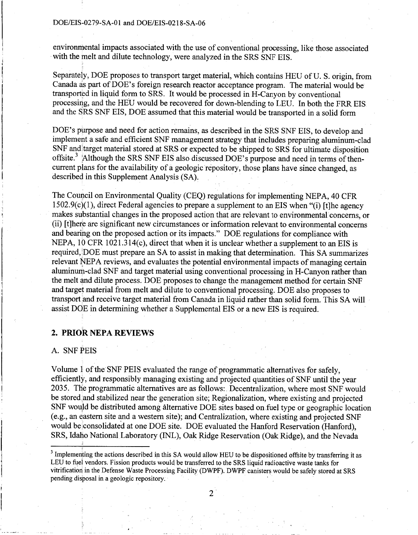environmental impacts associated with the use of conventional processing, like those associated with the melt and dilute technology, were analyzed in the SRS SNF EIS.

Separately, DOE proposes to transport target material, which contains HEU of U. S. origin, from Canada as part of DOE's foreign research reactor acceptance program. The material would be transported in liquid form to SRS. It would be processed in H-Canyon by conventional processing, and the HEU would be recovered for down-blending to LEU. In both the FRR EIS and the SRS SNF EIS, DOE assumed that this material would be transported in a solid form

DOE's purpose and need for action remains, as described in the SRS SNF EIS, to develop and implement a safe and efficient SNF management strategy that includes preparing aluminum-clad SNF and target material stored at SRS or expected to be shipped to SRS for ultimate disposition offsite.<sup>3</sup> 'Although the SRS SNF EIS also discussed DOE's purpose and need in terms of thencurrent plans for the availability of a geologic repository, those plans have since changed, as described in this Supplement Analysis (SA).

The Council on Environmental Quality (CEQ) regulations for implementing NEPA, 40 CFR 1502.9(c)(l), direct Federal agencies to prepare a supplement to an EIS when "(i) [t]he agency makes substantial changes in the proposed action that are relevant to environmental concerns, or (ii) [t]here are significant new circumstances or information relevant to environmental concerns and bearihg on the proposed action or its impacts." DOE regulations for compliance with NEPA, 10 CFR 1021.314(c), direct that when it is unclear whether a supplement to an EIS is required,!DOE must prepare an SA to assist in making that determination. This SA summarizes relevant NEPA reviews, and evaluates the potential environmental impacts of managing certain aluminum-clad SNF and target material using conventional processing in H-Canyon rather than the melt and dilute process. DOE proposes to change the management method for certain SNF and target material from melt and dilute to conventional processing. DOE also proposes to transport and receive target material from Canada in liquid rather than solid form. This SA will assist DOE in determining whether a Supplemental EIS or a new EIS is required.

## **2. PRIOR NEPA REVIEWS**

## A. SNF PEIS

Volume 1 of the SNF PEIS evaluated the range of programmatic alternatives for safely, efficiently, and responsibly managing existing and projected quantities of SNF until the year 2035. The programmatic alternatives are as follows: Decentralization, where most SNF would be stored <sup>1</sup>and stabilized near the generation site; Regionalization, where existing and projected SNF would be distributed among ålternative DOE sites based on fuel type or geographic location (e.g., an eastern site and a western site); and Centralization, where existing and projected SNF would be consolidated at one DOE site. DOE evaluated the Hanford Reservation (Hanford), SRS, Idaho National Laboratory (INL), Oak Ridge Reservation (Oak Ridge), and the Nevada

<sup>&</sup>lt;sup>3</sup> Implementing the actions described in this SA would allow HEU to be dispositioned offsite by transferring it as LEU to fuel vendors. Fission products would be transferred to the SRS liquid radioactive waste tanks for vitrification in the Defense Waste Processing Facility (DWPF). DWPF canisters would be safely stored at SRS pending disposal in a geologic repository. '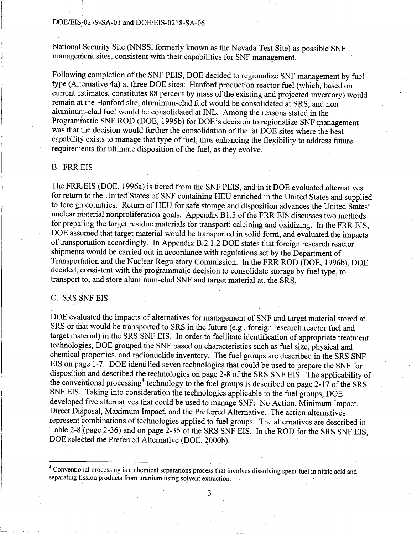National Security Site (NNSS, formerly known as the Nevada Test Site) as possible SNF management sites, consistent with their capabilities for SNF management.

Following completion of the SNF PEIS, DOE decided to regionalize SNF management by fuel type (Alternative 4a) at three DOE sites: Hanford production reactor fuel (which, based on current estimates, constitutes 88 percent by mass of the existing and projected inventory) would remain at the Hanford site, aluminum-clad fuel would be consolidated at SRS, and nonaluminurp-clad fuel would be consolidated at INL. Among the reasons stated in the Programmatic SNF ROD (DOE, 1995b) for DOE's decision to regionalize SNF management was that the decision would further the consolidation of fuel at DOE sites where the best capability exists to manage that type of fuel, thus enhancing the flexibility to address future requirements for ultimate disposition of the fuel, as they evolve.

## B. FRREIS

The FRREIS (DOE, 1996a) is tiered from the SNF PEIS, and in it DOE evaluated alternatives for return to the United States of SNF containing HEU enriched in the United States and supplied to foreign countries. Return of HEU for safe storage and disposition advances the United States' nuclear material nonproliferation goals. Appendix B1.5 of the FRR EIS discusses two methods for preparing the target residue materials for transport: calcining and oxidizing. In the FRR EIS, DOE assumed that target material would be transported in solid form, and evaluated the impacts of transportation accordingly. In Appendix B.2.1.2 DOE states that foreign research reactor shipments would be carried out in accordance with regulations set by the Department of Transportation and the Nuclear Regulatory Commission. In the FRR ROD (DOE, 1996b), DOE decided, consistent with the programmatic decision to consolidate storage by fuel type, to transport to, and store aluminum-clad SNF and target material at, the SRS. -

#### C. SRS SNF EIS

DOE evaluated the impacts of alternatives for management of SNF and target material stored at SRS or that would be transported to SRS in the future (e.g., foreign research reactor fuel and target material) in the SRS SNF EIS. In order to facilitate identification of appropriate treatment technologies, DOE grouped the SNF based on characteristics such as fuel size, physical and chemical properties, and radionuclide inventory. The fuel groups are described in the SRS SNF EIS on page 1-7. DOE identified seven technologies that could be used to prepare the SNF for disposition and described the technologies on page 2-8 of the SRS SNF EIS. The applicability of the conventional processing<sup>4</sup> technology to the fuel groups is described on page 2-17 of the SRS SNF EIS. Taking into consideration the technologies applicable to the fuel groups, DOE developed five alternatives that could be used to manage SNF: No Action, Minimum Impact, Direct Disposal, Maximum Impact, and the Preferred Alternative. The action alternatives represent combinations of technologies applied to fuel groups. The alternatives are described in Table 2-8:(page 2-36) and on page 2-35 of the SRS SNF EIS. In the ROD for the SRS SNF EIS, DOE selected the Preferred Alternative (DOE, 2000b).

<sup>&</sup>lt;sup>4</sup> Conventional processing is a chemical separations process that involves dissolving spent fuel in nitric acid and separating fission products from uranium using solvent extraction.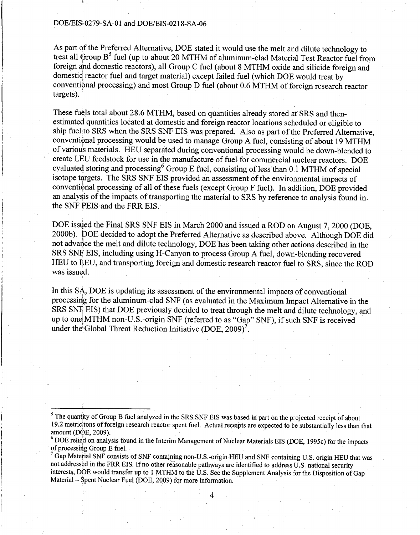As part of the Preferred Alternative, DOE stated it would use the melt and dilute technology to treat all Group  $B<sup>5</sup>$  fuel (up to about 20 MTHM of aluminum-clad Material Test Reactor fuel from foreign ind domestic reactors), all Group C fuel (about 8 MTHM oxide and silicide foreign and domestic reactor fuel and target material) except failed fuel (which DOE would treat by conventional processing) and most Group D fuel (about 0.6 MTHM of foreign research reactor targets).

These fuels total about 28.6 MTHM, based on quantities already stored at SRS and thenestimated quantities located at domestic and foreign reactor locations scheduled or eligible to ship fuel to SRS when the SRS SNF EIS was prepared. Also as part of the Preferred Alternative, conventional processing would be used to manage Group A fuel, consisting of about 19 MTHM of various materials. HEU separated during conventional processing would be down-blended to create LEU feedstock for use in the manufacture of fuel for commercial nuclear reactors. DOE evaluated storing and processing<sup>6</sup> Group E fuel, consisting of less than 0.1 MTHM of special isotope targets. The SRS SNF EIS provided an assessment of the environmental impacts of conventional processing of all of these fuels (except Group F fuel). In addition, DOE provided an analysis of the impacts of transporting the material to SRS by reference to analysis found in the SNF PEIS and the FRR EIS.

DOE issued the Final SRS SNF EIS in March 2000 and issued a ROD on August 7, 2000 (DOE, 2000b). DOE decided to adopt the Preferred Alternative as described above. Although DOE did not advance the melt and dilute technology, DOE has been taking other actions described in the SRS SNE EIS, including using H-Canyon to process Group A fuel, down-blending recovered HEU to LEU, and transporting foreign and domestic research reactor fuel to SRS, since the ROD was issued.

In this SA, DOE is updating its assessment of the environmental impacts of conventional processing for the aluminum-clad SNF (as evaluated in the Maximum Impact Alternative in the SRS SNF EIS) that DOE previously decided to treat through the melt and dilute technology, and up to one MTHM non-U.S.-origin SNF (referred to as "Gap" SNF), if such SNF is received under the Global Threat Reduction Initiative (DOE,  $2009$ )<sup>7</sup>.

<sup>&</sup>lt;sup>5</sup> The quantity of Group B fuel analyzed in the SRS SNF EIS was based in part on the projected receipt of about 19.2 metric tons of foreign research reactor spent fuel. Actual receipts are expected to be substantially less than that amount (DOE, 2009).

 $\degree$  DOE relied on analysis found in the Interim Management of Nuclear Materials EIS (DOE, 1995c) for the impacts of processing Group E fuel.

 $\sigma$  Gap Material SNF consists of SNF containing non-U.S.-origin HEU and SNF containing U.S. origin HEU that was not addressed in the FRR EIS. If no other reasonable pathways are identified to address U.S. national security interests, DOE would transfer up to 1 MTHM to the U.S. See the Supplement Analysis for the Disposition of Gap Material - Spent Nuclear Fuel (DOE, 2009) for more information.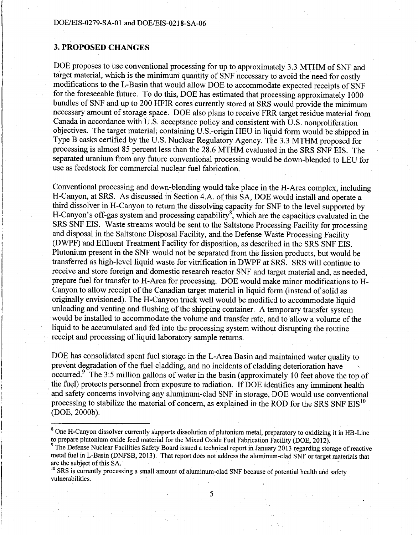### **3. PROPOSED CHANGES**

DOE proposes to use conventional processing for up to approximately 3.3 MTHM of SNF and target material, which is the minimum quantity of SNF necessary to avoid the need for costly modifications to the L-Basin that would allow DOE to accommodate expected receipts of SNF for the foreseeable future. To do this, DOE has estimated that processing approximately 1000 bundles 0f SNF and up to 200 HFIR cores currently stored at SRS would provide the minimum necessary amount of storage space. DOE also plans to receive FRR target residue material from Canada ih accordance with U.S. acceptance policy and consistent with U.S. nonproliferation objectives. The target material, containingU.S.-origin HEU in liquid form would be shipped in Type B casks certified by the U.S. Nuclear Regulatory Agency. The 3.3 MTHM proposed for processing is almost 85 percent less than the 28.6 MTHM evaluated in the SRS SNF EIS. The separated uranium from any future conventional processing would be down-blended to LEU for use as feedstock for commercial nuclear fuel fabrication.

Conventional processing and down-blending would take place in the H-Area complex, including H-Canydn, at SRS. As discussed in Section 4.A. of this SA, DOE would install and operate a third dissolver in H-Canyon to return the dissolving capacity for SNF to the level supported by H-Canyon's off-gas system and processing capability<sup>8</sup>, which are the capacities evaluated in the SRS SNF EIS. Waste streams would be sent to the Saltstone Processing Facility for processing and disposal in the Saltstone Disposal Facility, and the Defense Waste Processing Facility (DWPF) and Effluent Treatment Facility for disposition, as described in the SRS SNF EIS. Plutonium present in the SNF would not be separated from the fission products, but would be transferred as high-level liquid waste for vitrification in DWPF at SRS. SRS will continue to receive and store foreign and domestic research reactor SNF and target material and, as needed, prepare fuel for transfer to H-Area for processing. DOE would make minor modifications to H-Canyon to allow receipt of the Canadian target material in liquid form (instead of solid as originally envisioned). The H-Canyon truck well would be modified to accommodate liquid unloading and venting and flushing of the shipping container. A temporary transfer system would be installed to accommodate the volume and transfer rate, and to allow a volume of the liquid to be accumulated and fed into the processing system without disrupting the routine receipt and processing of liquid laboratory sample returns.

DOE has consolidated spent fuel storage in the L-Area Basin and maintained water quality to prevent degradation of the fuel cladding, and no incidents of cladding deterioration have occurred.<sup>9</sup> The 3.5 million gallons of water in the basin (approximately 10 feet above the top of the fuel) protects personnel from exposure to radiation. If DOE identifies any imminent health and safety concerns involving any aluminum-clad SNF in storage, DOE would use conventional processing to stabilize the material of concern, as explained in the ROD for the SRS SNF EIS<sup>10</sup> (DOE, 2dOOb).

<sup>&</sup>lt;sup>8</sup> One H-Canyon dissolver currently supports dissolution of plutonium metal, preparatory to oxidizing it in HB-Line to prepare plutonium oxide feed material for the Mixed Oxide Fuel Fabrication Facility (DOE, 2012).

 $9$  The Defense Nuclear Facilities Safety Board issued a technical report in January 2013 regarding storage of reactive metal fuel in L-Basin (DNFSB, 2013). That report does not address the aluminum-clad SNF or target materials that are the subject of this SA.<br><sup>10</sup> SRS is currently processing a small amount of aluminum-clad SNF because of potential health and safety

vulnerabilities.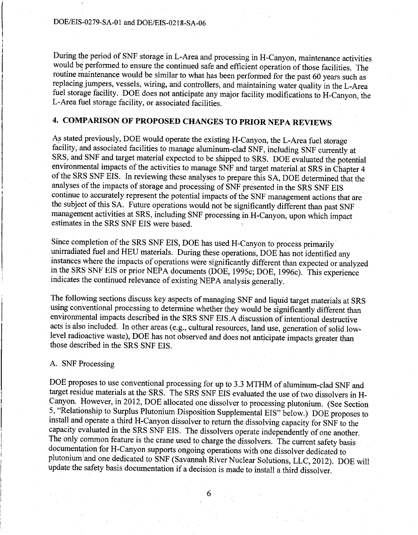During the period of SNF storage in L-Area and processing in H-Canyon, maintenance activities would be performed to ensure the continued safe and efficient operation of those facilities. The routine maintenance would be similar to what has been performed for the past 60 years such as replacing jumpers, vessels, wiring, and controllers, and maintaining water quality in the L-Area fuel storage facility. DOE does not anticipate any major facility modifications to H-Canyon, the L-Area fuel storage facility, or associated facilities.

# **4. COMPARISON OF PROPOSED CHANGES TO PRIOR NEPA REVIEWS**

As stated previously, DOE would operate the existing H-Canyon, the L-Area fuel storage facility, and associated facilities to manage aluminum-clad SNF, including SNF currently at SRS, and SNF and target material expected to be shipped to SRS. DOE evaluated the potential environmental impacts of the activities to manage SNF and target material at SRS in Chapter 4 of the SRS SNF EIS. In reviewing these analyses to prepare this SA, DOE determined that the analyses of the impacts of storage and processing of SNF presented in the SRS SNF EIS continue to accurately represent the potential impacts of the SNF management actions that are the subject of this SA. Future operations would not be significantly different than past SNF management activities at SRS, including SNF processing in H-Canyon, upon which impact estimates in the SRS SNF EIS were based.

Since completion of the SRS SNF EIS, DOE has used H-Canyon to process primarily· unirradiated fuel and HEU materials. During these operations, DOE has notidentified any instances where the impacts of operations were significantly different than expected or analyzed in the SRS SNF EIS or prior NEPA documents (DOE, 1995c; DOE, 1996c). This experience indicates the continued relevance of existing NEPA analysis generally.

The following sections discuss key aspects of managing SNF and liquid target materials at SRS using conventional processing to determine whether they would be significantly different than environmental impacts described in the SRS SNF EIS.A discussion of intentional destructive acts is also included. In other areas (e.g., cultural resources, land use, generation of solid lowlevel radioactive waste), DOE has not observed and does not anticipate impacts greater than those described in the SRS SNF EIS.

#### A. SNF Processing

DOE proposes to use conventional processing for up to 3.3 MTHM of aluminum-clad SNF and target residue materials at the SRS. The SRS SNF EIS evaluated the use of two dissolvers in H-Canyon. However, in 2012, DOE allocated one dissolver to processing plutonium. (See Section 5, "Relationship to Surplus Plutonium Disposition Supplemental EIS" below.) DOE proposes to install and operate a third H-Canyon dissolver to return the dissolving capacity for SNF to the capacity evaluated in the SRS SNF EIS. The dissolvers operate independently of one another. The only common feature is the crane used to charge the dissolvers. The current safety basis documentation for H-Canyon supports ongoing operations with one dissolver dedicated to plutonium and one dedicated to SNF (Savannah River Nuclear Solutions, LLC, 2012). DOE will update the safety basis documentation if a decision is made to install a third dissolver.

 $\overline{\phantom{a}}$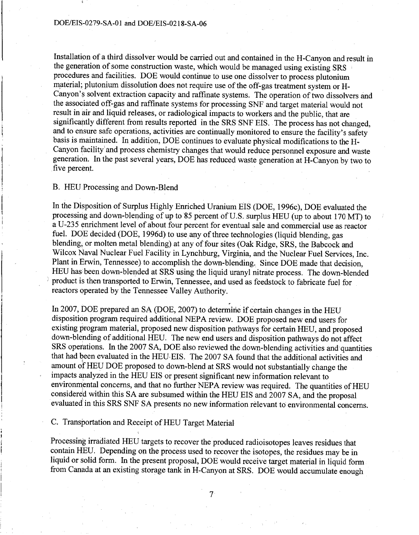Installation of a third dissolver would be carried out and contained in the H-Canyon and result in the generation of some construction waste, which would be managed using existing SRS 1 procedures and facilities. DOE would continue to use one dissolver to process plutonium material; plutonium dissolution does not require use of the off-gas treatment system or H-Canyon's solvent extraction capacity and raffinate systems. The operation of two dissolvers and the associated off-gas and raffinate systems for processing SNF and target material would not result in air and liquid releases, or radiological impacts to workers and the public, that are significantly different from results reported in the SRS SNF EIS. The process has not changed, and to ensure safe operations, activities are continually monitored to ensure the facility's safety basis is maintained. In addition, DOE continues to evaluate physical modifications to the H-Canyon facility and process chemistry changes that would reduce personnel exposure and waste generation. In the past several years, DOE has reduced waste generation at H-Canyon by two to five percent.

#### B. HEU Processing and Down-Blend

In the Disposition of Surplus Highly Enriched Uranium EIS (DOE, 1996c), DOE evaluated the processing and down-blending of up to 85 percent of U.S. surplus HEU (up to about 170 MT) to a U-23 5 emichrnent level of about four percent for eventual sale and commercial use as reactor fuel. DOE decided (DOE, 1996d) to use any of three technologies (liquid blending, gas blending, or molten metal blending) at any of four sites (Oak Ridge, SRS, the Babcock and Wilcox Naval Nuclear Fuel Facility in Lynchburg, Virginia, and the Nuclear Fuel Services, Inc. Plant in Erwin, Tennessee) to accomplish the down-blending. Since DOE made that decision, HEU has been down-blended at SRS using the liquid uranyl nitrate process. The down-blended ) product is then transported to Erwin, Tennessee, and used as feedstock to fabricate fuel for reactors operated by the Tennessee Valley Authority.

In 2007, DOE prepared an SA (DOE, 2007) to determine if certain changes in the HEU disposition program required additional NEPA review. DOE proposed new end users for existing program material, proposed new disposition pathways for certain HEU, and proposed down-blending of additional HEU. The new end users and disposition pathways do not affect SRS operations. In the 2007 SA, DOE also reviewed the down-blending activities and quantities that had been evaluated in the HEU EIS. The 2007 SA found that the additional activities and amount of HEU DOE proposed to down-blend at SRS would not substantially change the impacts analyzed in the HEU EIS or present significant new information relevant to environmental concerns, and that no further NEPA review was required. The quantities of HEU considered within this SA are subsumed within the HEU EIS and 2007 SA, and the proposal evaluated in this SRS SNF SA presents no new information relevant to environmental concerns.

.

C. Transportation and Receipt of HEU Target Material

Processing irradiated HEU targets to recover the produced radioisotopes leaves residues that contain HEU. Depending on the process used to recover the isotopes, the residues may be in liquid or solid form. In the present proposal, DOE would receive target material in liquid form from Canada at an existing storage tank in H-Canyon at SRS. DOE would accumulate enough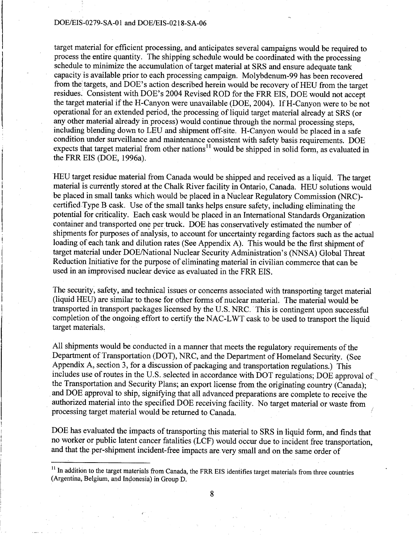target material for efficient processing, and anticipates several campaigns would be required to process the entire quantity. The shipping schedule would be coordinated with the processing schedule to minimize the accumulation of target material at SRS and ensure adequate tank capacity is available prior to each processing campaign. Molybdenum-99 has been recovered from the targets, and DOE's action described herein would be recovery of HEU from the target residues. Consistent with DOE's 2004 Revised ROD for the FRR EIS, DOE would not accept the target material if the H-Canyon were unavailable (DOE, 2004). If H-Canyon were to be not operatioaal for an extended period, the processing of liquid target material already at SRS (or any other material already in process) would continue through the normal processing steps, including blending down to LEU and shipment off-site. H-Canyon would be placed in a safe condition under surveillance and maintenance consistent with safety basis requirements. DOE expects that target material from other nations<sup>11</sup> would be shipped in solid form, as evaluated in the FRR EIS (DOE, l 996a).

HEU target residue material from Canada would be shipped and received as a liquid. The target material is currently stored at the Chalk River facility in Ontario, Canada. HEU solutions would be placed in small tanks which would be placed in a Nuclear Regulatory Commission (NRC) certifiedType B cask. Use of the small tanks helps ensure safety, including eliminating the potential for criticality. Each cask would be placed in an International Standards Organization container and transported one per truck. DOE has conservatively estimated the number of shipments for purposes of analysis, to account for uncertainty regarding factors such as the actual loading of each tank and dilution rates (See Appendix A). This would be the first shipment of target material under DOE/National Nuclear Security Administration's (NNSA) Global Threat Reduction Initiative for the purpose of eliminating material in civilian commerce that can be used in an improvised nuclear device as evaluated in the FRR EIS.

The security, safety, and technical issues or concerns associated with transporting target material (liquid HEU) are similar to those for other forms of nuclear material. The material would be transported in transport packages licensed by the U.S. NRC. This is contingent upon successful completion of the ongoing effort to certify the NAC-LWT cask to be used to transport the liquid target materials.

All shipments would be conducted in a manner that meets the regulatory requirements of the Department of Transportation (DOT), NRC, and the Department of Homeland Security. (See Appendix A, section 3, for a discussion of packaging and transportation regulations.) This includes use of routes in the U.S. selected in accordance with DOT regulations; DOE approval of the Transportation and Security Plans; an export license from the originating country (Canada); and DOE approval to ship, signifying that all advanced preparations are complete to receive the authorized material into the specified DOE receiving facility. No target material or waste from processing target material would be returned to Canada.

DOE has evaluated the impacts of transporting this material to SRS in liquid form, and finds that no worker or public latent cancer fatalities (LCF) would occur due to incident free transportation, and that the per-shipment incident-free impacts are very small and on the same order of

<sup>&</sup>lt;sup>11</sup> In addition to the target materials from Canada, the FRR EIS identifies target materials from three countries (Argentina, Belgium, and Indonesia) in Group D.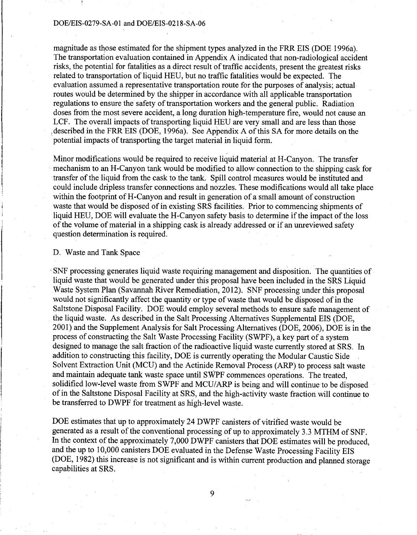magnitude as those estimated for the shipment types analyzed in the FRR EIS (DOE 1996a). The transportation evaluation contained in Appendix A indicated that non-radiological accident risks, the potential for fatalities as a direct result of traffic accidents, present the greatest risks related to transportation of liquid HEU, but no traffic fatalities would be expected. The evaluation assumed a representative transportation route for the purposes of analysis; actual routes would be determined by the shipper in accordance with all applicable transportation regulations to ensure the safety of transportation workers and the general public. Radiation doses from the most severe accident, a long duration high-temperature fire, would not cause an LCF. The overall impacts of transporting liquid HEU are very small and are less than those described in the FRR EIS (DOE, 1996a). See Appendix A of this SA for more details on the 'potential impacts of transporting the target material in liquid form.

Minor modifications would be required to receive liquid material at H-Canyon. The transfer mechanism to an H-Canyon tank would be modified to allow connection to the shipping cask for transfer of the liquid from the cask to the tank. Spill control measures would be instituted and could include dripless transfer connections and nozzles. These modifications would all take place within the footprint of H-Canyon and result in generation of a small amount of construction waste that would be disposed of in existing SRS facilities. Prior to commencing shipments of liquid HEU, DOE will evaluate the H-Canyon safety basis to determine if the impact of the loss of the volume of material in a shipping cask is already addressed or if an unreviewed safety question determination is required.

#### D. Waste and Tank Space

, SNF processing generates liquid waste requiring management and disposition. The quantities of liquid waste that would be generated under this proposal have been included in the SRS Liquid Waste System Plan (Savannah River Remediation, 2012). SNF processing under this proposal would not significantly affect the quantity or type of waste that would be disposed of in the Saltstone Disposal Facility. DOE would employ several methods to ensure safe management of the liquid waste. As described in the Salt Processing Alternatives Supplemental EIS (DOE, 2001) and the Supplement Analysis for Salt Processing Alternatives (DOE, 2006), DOE is in the process of constructing the Salt Waste Processing Facility (SWPF), a key part of a system designed to manage the salt fraction of the radioactive liquid waste currently stored at SRS. In addition to constructing this facility, DOE is currently operating the Modular Caustic Side . Solvent Extraction Unit (MCU) and the Actinide Removal Process (ARP) to process salt waste and maintain adequate tank waste space until SWPF commences operations. The treated, solidified low-level waste from SWPF and MCU/ARP is being and will continue to be disposed of in the Saltstone Disposal Facility at SRS, and the high-activity waste fraction will continue to be transferred to DWPF for treatment as high-level waste.

DOE estimates that up to approximately 24 DWPF canisters of vitrified waste would be generated as a result of the conventional processing of up to approximately 3.3 MTHM of SNF. In the context of the approximately 7,000 DWPF canisters that DOE estimates will be produced, and the up to 10,000 canisters DOE evaluated in the Defense Waste Processing Facility EIS (DOE, 1982) this increase is not significant and is within current production and planned storage capabilities at SRS.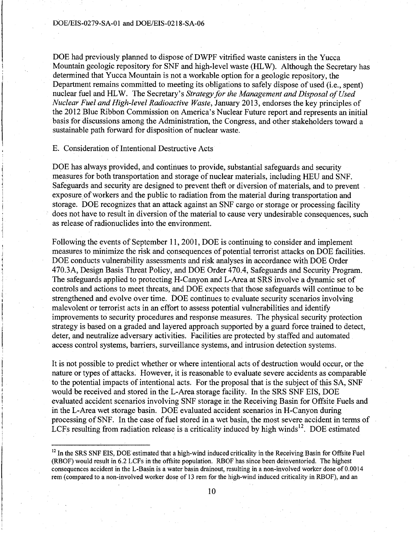DOE had previously planned to dispose of DWPF vitrified waste canisters in the Yucca Mountain geologic repository for SNF and high-level waste (HL W). Although the Secretary has determined that Yucca Mountain is not a workable option for a geologic repository, the Department remains committed to meeting its obligations to safely dispose of used (i.e., spent) nuclear fuel and HL W. The Secretary's *Strategy for the Management and Disposal of Used Nuclear Fuel and High-level Radioactive Waste,* January 2013, endorses the key principles of the 2012 Blue Ribbon Commission on America's Nuclear Future report and represents an initial basis for discussions among the Administration, the Congress, and other stakeholders toward a sustainable path forward for disposition of nuclear waste.

## E. Consideration of Intentional Destructive Acts

DOE has always provided, and continues to provide, substantial safeguards and security measures for both transportation and storage of nuclear materials, including HEU and SNF. Safeguards and security are designed to prevent theft or diversion of materials, and to prevent exposure of workers and the public to radiation from the material during transportation and storage. DOE recognizes that an attack against an SNF cargo or storage or processing facility does not have to result in diversion of the material to cause very undesirable consequences, such as release of radionuclides into the environment.

Following the events of September 11, 2001, DOE is continuing to consider and implement measures to minimize the risk and qonsequences of potential terrorist attacks on DOE facilities. DOE conducts vulnerability assessments and risk analyses in accordance with DOE Order 470.3A, Design Basis Threat Policy, and DOE Order 470.4, Safeguards and Security Program. The safeguards applied to protecting H-Canyon and L-Area at SRS involve a dynamic set of controls and actions to meet threats, and DOE expects that those safeguards will continue to be strengthened and evolve over time. DOE continues to evaluate security scenarios involving malevolent or terrorist acts in an effort to assess potential vulnerabilities and identify improvements to security procedures and response measures. The physical security protection strategy is based on a graded and layered approach supported by a guard force trained to detect, deter, and neutralize adversary activities. Facilities are protected by staffed and automated access control systems, barriers, surveillance systems, and intrusion detection systems.

It is not possible to predict whether or where intentional acts of destruction would occur, or the nature or types of attacks. However, it is reasonable to evaluate severe accidents as comparable' to the potential impacts of intentional acts. For the proposal that is the subject of this SA, SNF would be received and stored in the L-Area storage facility. In the SRS SNF EIS, DOE evaluated accident scenarios involving SNF storage in the Receiving Basin for Offsite Fuels and in the L-Area wet storage basin. DOE evaluated accident scenarios in H-Canyon during processing of SNF. In the case of fuel stored in a wet basin, the most severe accident in terms of LCFs resulting from radiation release is a criticality induced by high winds<sup>12</sup>. DOE estimated

<sup>&</sup>lt;sup>12</sup> In the SRS SNF EIS, DOE estimated that a high-wind induced criticality in the Receiving Basin for Offsite Fuel (RBOF) would result in 6.2 LCFs in the offsite population. RBOF has since been deinventoried. The highest consequences accident in the L-Basin is a water basin drainout, resulting in a non-involved worker dose of 0.0014 rem (compared to a non-involved worker dose of 13 rem for the high-wind induced criticality in RBOF), and an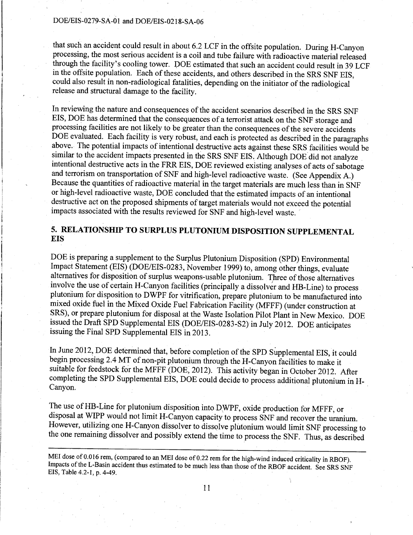that such an accident could result in about 6.2 LCF in the offsite population. During H-Canyon processing, the most serious accident is a coil and tube failure with radioactive material released through the facility's cooling tower. DOE estimated that such an accident could result in 39 LCF in the offsite population. Each of these accidents, and others described in the SRS SNF EIS, could also result in non-radiological fatalities, depending on the initiator of the radiological release and structural damage to the facility.

In reviewing the nature and consequences of the accident scenarios described in the SRS SNF EIS, DOE has determined that the consequences of a terrorist attack on the SNF storage and processing facilities are not likely to be greater than the consequences of the severe accidents DOE evaluated. Each facility is very robust, and each is protected as described in the paragraphs above. The potential impacts of intentional destructive acts against these SRS facilities would be similar to the accident impacts presented in the SRS SNF EIS. Although DOE did not analyze intentional destructive acts in the FRR EIS, DOE reviewed existing analyses of acts of sabotage and terrorism on transportation of SNF and high-level radioactive waste. (See Appendix A.) Because the quantities of radioactive material in the target materials are much less than in SNF or high-level radioactive waste, DOE concluded that the estimated impacts of an intentional destructive act on the proposed shipments of target materials would not exceed the potential impacts associated with the results reviewed for SNF and high-level waste.

# 5. RELATIONSHIP TO SURPLUS PLUTONIUM DISPOSITION SUPPLEMENTAL **EIS**

DOE is preparing a supplement to the Surplus Plutonium Disposition (SPD) Environmental Impact Statement (EIS) (DOE/EIS-0283, November 1999) to, among other things, evaluate alternatives for disposition of surplus weapons-usable plutonium. Three of those alternatives involve the use of certain H-Canyon facilities (principally a dissolver and HB-Line) to process plutonium for disposition to DWPF for vitrification, prepare plutonium to be manufactured into mixed oxide fuel in the Mixed Oxide Fuel Fabrication Facility (MFFF) (under construction at SRS), or prepare plutonium for disposal at the Waste Isolation Pilot Plant in New Mexico. DOE issued the Draft SPD Supplemental EIS (DOE/EIS-0283-S2) in July 2012. DOE anticipates issuing the Final SPD Supplemental EIS in 2013.

In June 2012, DOE determined that, before completion of the SPD Supplemental EIS, it could begin processing 2.4 MT of non-pit plutonium through the H-Canyon facilities to make it suitable for feedstock for the MFFF (DOE, 2012). This activity began in October 2012. After completing the SPD Supplemental EIS, DOE could decide to process additional plutonium in H-Canyon.

The use of HB-Line for plutonium disposition into DWPF, oxide production for MFFF, or disposal at WIPP would not limit H-Canyon capacity to process SNF and recover the uranium. However, utilizing one H-Canyon dissolver to dissolve plutonium would limit SNF processing to the one remaining dissolver and possibly extend the time to process the SNF. Thus, as described

MEI dose of 0.016 rem, (compared to an MEI dose of 0.22 rem for the high-wind induced criticality in RBOF). Impacts of the L-Basin accident thus estimated to be much less than those of the RBOF accident. See SRS SNF EIS, Table 4.2-1, p. 4-49.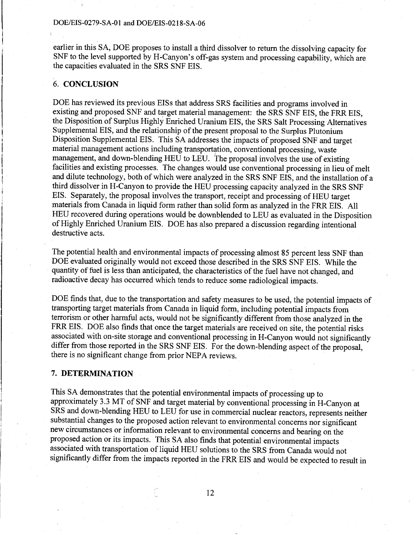earlier in this SA; DOE proposes to install a third dissolver to return the dissolving capacity for SNF to the level supported by H-Canyon's off-gas system and processing capability, which are the capacities evaluated in the SRS SNF EIS.

## 6. **CONCLUSION**

DOE has reviewed its previous EISs that address SRS facilities and programs involved in existing and proposed SNF and target material management: the SRS SNF EIS, the FRR EIS, the Disposition of Surplus Highly Enriched Uranium EIS, the SRS Salt Processing Alternatives Supplemental EIS, and the relationship of the present proposal to the Surplus Plutonium Disposition Supplemental EIS. This SA addresses the impacts of proposed SNF and target material management actions including transportation, conventional processing, waste management, and down-blending HEU to LEU. The proposal involves the use of existing facilities and existing processes. The changes would use conventional processing in lieu of melt and dilute technology, both of which were analyzed in the SRS SNF EIS, and the installation of a third dissolver in H-Canyon to provide the HEU processing capacity analyzed in the SRS SNF EIS. Separately, the proposal involves the transport, receipt and processing of HEU target materials from Canada in liquid form rather than solid form as analyzed in the FRR EIS. All HEU recovered during operations would be downblended to LEU as evaluated in the Disposition of Highly Enriched Uranium EIS. DOE has also prepared a discussion regarding intentional destructive acts.

The potential health and environmental impacts of processing almost 85 percent less SNF than DOE evaluated originally would not exceed those described in the SRS SNF EIS. While the quantity of fuel is less than anticipated, the characteristics of the fuel have not changed, and radioactive decay has occurred which tends to reduce some radiological impacts.

DOE finds that, due to the transportation and safety measures to be used, the potential impacts of transporting target materials from Canada in liquid form, including potential impacts from terrorism or other harmful acts, would not be significantly different from those analyzed in the FRR EIS. DOE also finds that once the target materials are received on site, the potential risks associated with on-site storage and conventional processing in H-Canyon would not significantly differ from those reported in the SRS SNF EIS. For the down-blending aspect of the proposal, there is no significant change from prior NEPA reviews.

#### **7. DETERMINATION**

This SA demonstrates that the potential environmental impacts of processing up to approximately 3 .3 MT of SNF and target material by conventional processing in H-Canyon at SRS and down-blending HEU to LEU for use in commercial nuclear reactors, represents neither substantial changes to the proposed action relevant to environmental concerns nor significant new circumstances or information relevant to environmental concerns and bearing on the proposed action or its impacts. This SA also finds that potential environmental impacts associated with transportation of liquid HEU solutions to the SRS from Canada would not significantly differ from the impacts reported in the FRR EIS and would be expected to result in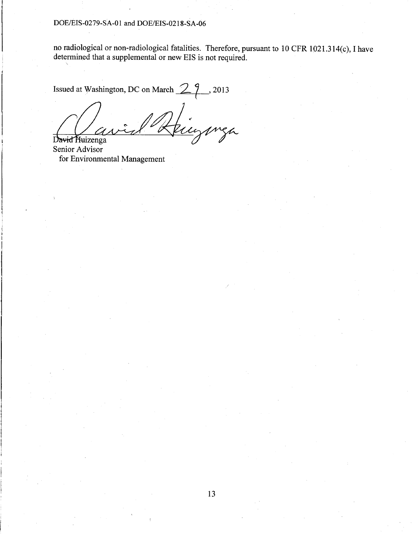no radiological or non-radiological fatalities. Therefore, pursuant to 10 CFR 1021.314(c), I have determined that a supplemental or new EIS is not required.

Issued at Washington, DC on March  $\mathbb{Z}_7$ , 2013 mga  $\overline{\mathcal{U}}$ 

David Huizenga Senior Advisor for Environmental Management

'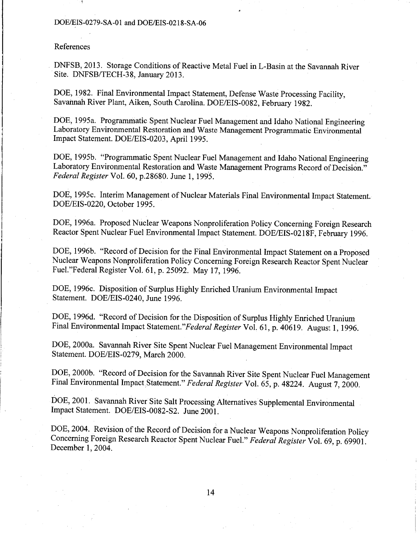### References

DNFSB, 2013. Storage Conditions of Reactive Metal Fuel in L-Basin at the Savannah River Site. DNFSB/TECH-38, January 2013.

DOE, 1982. Final Environmental Impact Statement, Defense Waste Processing Facility, Savannah River Plant, Aiken, South Carolina. DOE/EIS-0082, February 1982.

DOE, 1995a. Programmatic Spent Nuclear Fuel Management and Idaho National Engineering Laboratory Environmental Restoration and Waste Management Programmatic Environmental Impact Statement. DOE/EIS-0203, April 1995.

DOE, 1995b. "Programmatic Spent Nuclear Fuel Management and Idaho National Engineering Laboratory Environmental Restoration and Waste Management Programs Record of Decision." *Federal Register* Vol. 60, p.28680. June 1, 199'5.

DOE, 1995c. Interim Management of Nuclear Materials Final Environmental Impact Statement. DOE/EIS-0220, October 1995.

DOE, 1996a. Proposed Nuclear Weapons Nonproliferation Policy Concerning Foreign Research Reactor Spent Nuclear Fuel Environmental Impact Statement. DOE/EIS-0218F, February 1996.

DOE, 1996b. "Record of Decision for the Final Environmental Impact Statement on a Proposed Nuclear Weapons Nonproliferation Policy Concerning Foreign Research Reactor Spent Nuclear Fuel."Federal Register Vol. 61, p. 25092. May 17, 1996.

DOE, 1996c. Disposition of Surplus Highly Enriched Uranium Environmental Impact Statement. DOE/EIS-0240, June 1996.

DOE, 1996d. "Record of Decision for the Disposition of Surplus Highly Enriched Uranium Final Environmental Impact *Statement."Federal Register* Vol. 61, p. 40619. August 1, 1996.

DOE, 2000a. Savannah River Site Spent Nuclear Fuel Management Environmental Impact Statement. DOE/EIS-0279, March 2000.

DOE, 2000b. "Record of Decision for the Savannah River Site Spent Nuclear Fuel Management Final Environmental Impact Statement." *Federal Register* Vol. 65, p. 48224. August 7, 2000.

DOE, 2001. Savannah River Site Salt Processing Alternatives Supplemental Environmental Impact Statement. DOE/EIS-0082-S2. June 2001.

DOE, 2004. Revision of the Record of Decision for a Nuclear Weapons Nonproliferation Policy Concerning Foreign Research Reactor Spent Nuclear Fuel." *Federal Register* Vol. 69, p. 69901. December 1, 2004.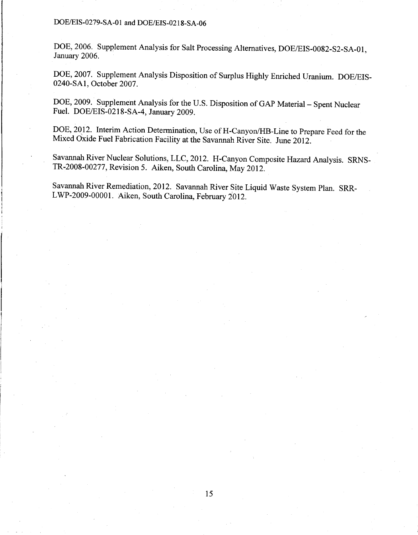DOE, 2006. Supplement Analysis for Salt Processing Alternatives, DOE/EIS-0082-S2-SA-01, January 2006.

DOE, 2007. Supplement Analysis Disposition of Surplus Highly Enriched Uranium. DOE/EIS-0240-SAl, October 2007.

DOE, 2009. Supplement Analysis for the U.S. Disposition of GAP Material - Spent Nuclear Fuel. DOE/EIS-0218-SA-4, January 2009.

DOE, 2012. Interim Action Determination, Use of H-Canyon/HB-Line to Prepare Feed for the Mixed Oxide Fuel Fabrication Facility at the Savannah River Site. June 2012.

Savannah River Nuclear Solutions, LLC, 2012. H-Canyon Composite Hazard Analysis. SRNS-TR-2008-00277, Revision 5. Aiken, South Carolina, May 2012.

Savannah River Remediation, 2012. Savannah River Site Liquid Waste System Plan. SRR-LWP-2009-00001. Aiken, South Carolina, February 2012.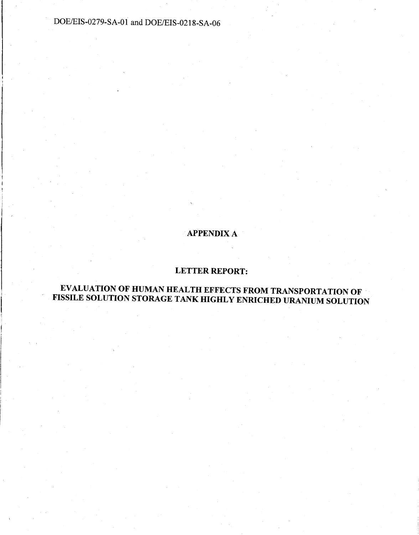# APPENDIX A

# LETTER REPORT:

# EVALUATION OF HUMAN HEALTH EFFECTS FROM TRANSPORTATION OF · FISSILE SOLUTION STORAGE TANK HIGHLY ENRICHED URANIUM SOLUTION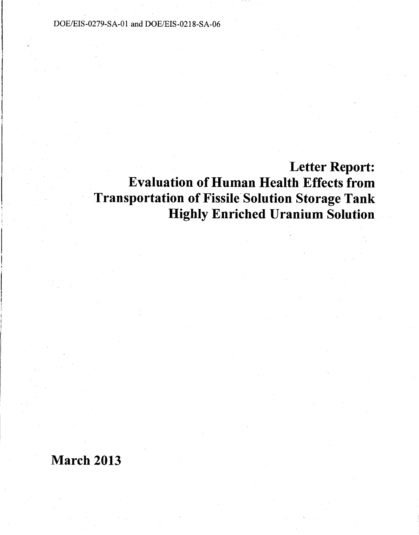# Letter Report: Evaluation of Human Health Effects from Transportation of Fissile' Solution Storage Tank Highly Enriched Uranium Solution

# March 2013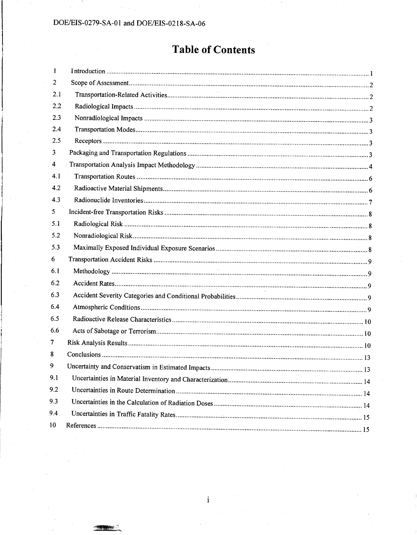# **Table of Contents**

| $\mathbf{1}$ |  |
|--------------|--|
| 2            |  |
| 2.1          |  |
| 2.2          |  |
| 2.3          |  |
| 2.4          |  |
| 2.5          |  |
| 3            |  |
| 4            |  |
| 4.1          |  |
| 4.2          |  |
| 4.3          |  |
| 5            |  |
| 5.1          |  |
| 5.2          |  |
| 5.3          |  |
| 6            |  |
| 6.1          |  |
| 6.2          |  |
| 6.3          |  |
| 6.4          |  |
| 6.5          |  |
| 6.6          |  |
| 7            |  |
| 8            |  |
| 9            |  |
| 9.1          |  |
| 9.2          |  |
| 9.3          |  |
| 9.4          |  |
| 10           |  |
|              |  |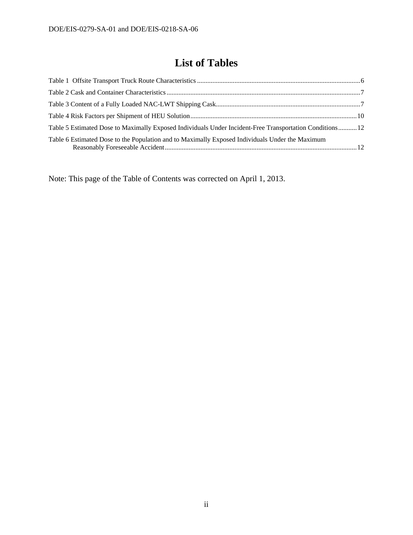# **List of Tables**

| Table 5 Estimated Dose to Maximally Exposed Individuals Under Incident-Free Transportation Conditions12 |  |
|---------------------------------------------------------------------------------------------------------|--|
| Table 6 Estimated Dose to the Population and to Maximally Exposed Individuals Under the Maximum         |  |

Note: This page of the Table of Contents was corrected on April 1, 2013.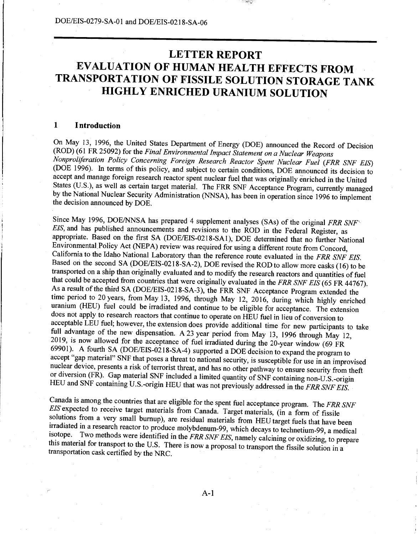# **LETTER REPORT EVALUATION OF HUMAN HEALTH EFFECTS FROM TRANSPORTATION OF FISSILE SOLUTION STORAGE TANK HIGHLY ENRICHED URANIUM SOLUTION**

#### **1 Introduction**

On May 13, 1996, the United States Department of Energy (DOE) announced the Record of Decision (ROD) (61FR25092) for the *Final Environmental Impact Statement on a Nuclear Weapons Nonproliferation Policy Concerning Foreign Research Reactor Spent Nuclear Fuel (FRR SNF EIS)*  (DOE 1996). In terms of this policy, and subject to certain conditions, DOE announced its decision to accept and manage foreign research reactor spent nuclear fuel that was originally enriched in the United States (U.S.), as well as certain target material. The FRR SNF Acceptance Program, currently managed by the National Nuclear Security Administration (NNSA), has been in operation since 1996 to implement the decision announced by DOE.

Since May 1996, DOE/NNSA has prepared 4 supplement analyses (SAs) of the original *FRR SNF'' EIS,* and has published announcements and revisions to the ROD in the Federal Register, as appropriate. Based on the first SA (DOE/EIS-0218-SA1), DOE determined that no further National Environmental Policy Act (NEPA) review was required for using a different route from Concord, California to the Idaho National Laboratory than the reference route evaluated in the *FRR SNF EIS.*  Based on the second SA (DOE/EIS-0218-SA-2), DOE revised the ROD to allow more casks (16) to be transported on a ship than originally evaluated and to modify the research reactors and quantities of fuel that could be accepted from countries that were originally evaluated in the *FRR SNF EIS* (65 FR 44767). As a result of the third SA (DOE/EIS-0218-SA-3), the FRR SNF Acceptance Program extended the time period to 20 years, from May 13, 1996, through May 12, 2016, during which highly enriched uranium (HEU) fuel could be irradiated and continue to be eligible for acceptance. The extension does not apply to research reactors that continue to operate on HEU fuel in lieu of conversion to acceptable LEU fuel; however, the extension does provide additional time for new participants to take full advantage of the new dispensation. A 23 year period from May 13, 1996 through May 12, 2019, is now allowed for the acceptance of fuel irradiated during the 20-year window (69 FR 69901). A fourth SA (DOE/EIS-0218-SA-4) supported a DOE decision to expand the program to accept "gap material" SNF that poses a threat to national security, is susceptible for use in an improvised nuclear device, presents a risk of terrorist threat, and has no other pathway to ensure security from theft or diversion (FR). Gap material SNF included a limited quantity of SNF containing non-U.S.-origin HEU and SNF containing U.S.-origin HEU that was not previously addressed in the *FRR SNF EIS.* 

Canada is among the countries that are eligible for the spent fuel acceptance program. The *FRR SNF EIS* expected to receive target materials from Canada. Target materials, (in a form of fissile solutions from a very small burnup), are residual materials from HEU target fuels that have been irradiated in a research reactor to produce molybdenum-99, which decays to technetium-99, a medical isotope. Two methods were identified in the *FRR SNF EIS,* namely calcining or oxidizing, to prepare this material for transport to the U.S. There is now a proposal to transport the fissile solution in a transportation cask certified by the NRC.

A-1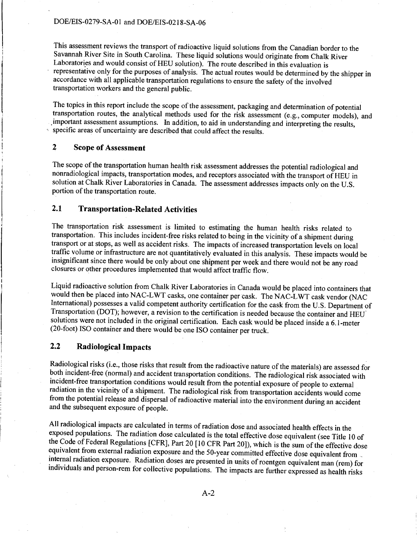This assessment reviews the transport of radioactive liquid solutions from the Canadian border to the Savannah River Site in South Carolina. These liquid solutions would originate from Chalk River Laboratories and would consist of HEU solution). The route described in this evaluation is representative only for the purposes of analysis. The actual routes would be determined by the shipper in accordance with all applicable transportation regulations to ensure the safety of the involved transportation workers and the general public.

The topics in this report include the scope of the assessment, packaging and determination of potential transportation routes, the analytical methods used for the risk assessment (e.g., computer models), and . important assessment assumptions. In addition, to aid in understanding and interpreting the results, specific areas of uncertainty are described that could affect the results.

## **2 Scope of Assessment**

The scope of the transportation human health risk assessment addresses the potential radiological and nonradiological impacts, transportation modes, and receptors associated with the transport of HEU in solution at Chalk River Laboratories in Canada. The assessment addresses impacts only on the U.S. portion of the transportation route.

## **2.1 Transportation-Related Activities**

The transportation risk assessment is limited to estimating the human health risks related to transportation. This includes incident-free risks related to being in the vicinity of a shipment during transport or at stops, as well as accident risks. The impacts of increased transportation levels on local traffic volume or infrastructure are not quantitatively evaluated in this analysis. These impacts would be insignificant since there would be only about one shipment per week and there would not be any road closures or other procedures implemented that would affect traffic flow.

Liquid radioactive solution from Chalk River Laboratories in Canada would be placed into containers that would then be placed into NAC-LWT casks, one container per cask. The NAC-LWT cask vendor (NAC International) possesses a valid competent authority certification for the cask from the U.S. Department of Transportation (DOT); however, a revision to the certification is needed because the container and HEU' solutions were not included in the original certification. Each cask would be placed inside a 6.1-meter (20-foot) ISO container and there would be one ISO container per truck.

## **2.2 Radiological Impacts**

Radiological risks (i.e., those risks that result from the radioactive nature of the materials) are assessed for both incident-free (normal) and accident transportation conditions. The radiological risk associated with incident-free transportation conditions would result from the potential exposure of people to external radiation in the vicinity of a shipment. The radiological risk from transportation accidents would come from the potential release and dispersal of radioactive material into the environment during an accident and the subsequent exposure of people.

All radiological impacts are calculated in terms of radiation dose and associated health effects in the exposed populations. The radiation dose calculated is the total effective dose equivalent (see Title 10 of the Code of Federal Regulations [CFR], Part 20 [IO CFR Part 20]), which is the sum of the effective dose equivalent from external radiation exposure and the 50-year committed effective dose equivalent from \_ internal radiation exposure. Radiation doses are presented in units of roentgen equivalent man (rem) for individuals and person-rem for collective populations. The impacts are further expressed as health risks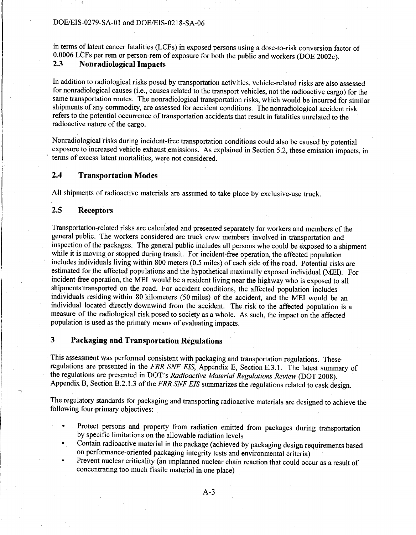in terms of latent cancer fatalities (LCFs) in exposed persons using a dose-to-risk conversion factor of 0.0006 LCFs per rem or person-rem of exposure for both the public and workers (DOE 2002c).<br>2.3 **Nonradiological Impacts 2.3 Nonradiological Impacts** 

In addition to radiological risks posed by transportation activities, vehicle-related risks are also assessed for nonradiological causes (i.e., causes related to the transport vehicles, not the radioactive cargo) for the same transportation routes. The nonradiological transportation risks, which would be incurred for similar shipments of any commodity, are assessed for accident conditions. The nonradiological accident risk refers to the potential occurrence of transportation accidents that result in fatalities unrelated to the radioactive nature of the cargo.

Nonradiological risks during incident-free transportation conditions could also be caused by potential exposure to increased vehicle exhaust emissions. As explained in Section 5.2, these emission impacts, in terms of excess latent mortalities, were not considered.

## **2.4 Transportation Modes**

All shipments of radioactive materials are assumed to take place by exclusive-use truck.

# **2.5 Receptors**

1

Transportation~related risks are calculated and presented separately for workers and members of the general public. The workers considered are truck crew members involved in transportation and inspection of the packages. The general public includes all persons who could be exposed to a shipment while it is moving or stopped during transit. For incident-free operation, the affected population includes individuals living within 800 meters (0.5 miles) of each side of the road. Potential risks are estimated for the affected populations and the hypothetical maximally exposed individual (MEI). For incident-free operation, the MEI would be a resident living near the highway who is exposed to all shipments transported on the road. For accident conditions, the affected population includes individuals residing within 80 kilometers (50 miles) of the accident, and the MEI would be an individual located directly downwind from the accident. The risk to the affected population is a measure of the radiological risk posed to society as a whole. As such, the impact on the affected population is used as the primary means of evaluating impacts. ·

# **3 Packaging and Transportation Regulations**

This assessment was performed consistent with packaging and transportation regulations. These regulations are presented in the *FRR SNF EIS,* Appendix E, Section E.3 .1. The latest summary of the regulations are presented in DOT's *Radioactive Material Regulations Review* (DOT 2008). Appendix B, Section B.2.1.3 of the *FRR SNF EIS* summarizes the regulations related to cask design.

The regulatory standards for packaging and transporting radioactive materials are designed to achieve the following four primary objectives:

- Protect persons and property from radiation emitted from packages during transportation by specific limitations on the allowable radiation levels
- Contain radioactive material in the package (achieved by packaging design requirements based on performance-oriented packaging integrity tests and environmental criteria)
- Prevent nuclear criticality (an unplanned nuclear chain reaction that could occur as a result of concentrating too much fissile material in one place)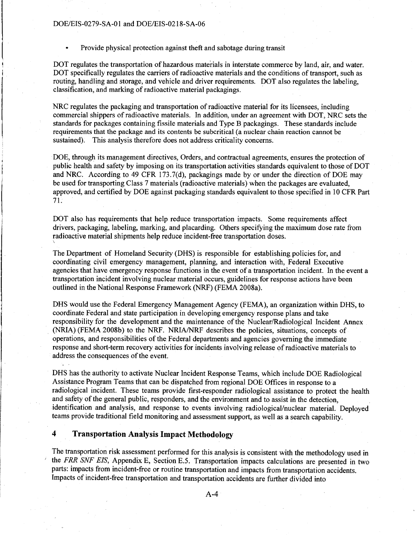Provide physical protection against theft and sabotage during transit

DOT regulates the transportation of hazardous materials in interstate commerce by land, air, and water. DOT specifically regulates the carriers of radioactive materials and the conditions of transport, such as routing, handling and storage, and vehicle and driver requirements. DOT also regulates the labeling, classification, and marking of radioactive material packagings.

NRC regulates the packaging and transportation of radioactive material for its licensees, including commercial shippers of radioactive materials. In addition, under an agreement with DOT, NRC sets the standards for packages containing fissile materials and Type B packagings. These standards include requirements that the package and its contents be subcritical (a nuclear chain reaction cannot be sustained). This analysis therefore does not address criticality concerns.

DOE, through its management directives, Orders, and contractual agreements, ensures the protection of public health and safety by imposing on its transportation activities standards equivalent to those of DOT and NRC. According to 49 CFR 173.7(d), packagings made by or under the direction of DOE may be used for transporting Class 7 materials (radioactive materials) when the packages are evaluated, approved, and certified by DOE against packaging standards equivalent to those specified in 10 CFR Part 71.

DOT also has requirements that help reduce transportation impacts. Some requirements affect drivers, packaging, labeling, marking, and placarding. Others specifying the maximum dose rate from radioactive material shipments help reduce incident-free transportation doses.

The Department of Homeland Security (DHS) is responsible for establishing policies for, and coordinating civil emergency management, planning, and interaction with, Federal Executive agencies that have emergency response functions in the event of a transportation incident. In the event a transportation incident involving nuclear material occurs, guidelines for response actions have been outlined in the National Response Framework (NRF) (FEMA 2008a).

DHS would use the Federal Emergency Management Agency (FEMA), an organization within DHS, to coordinate Federal and state participation in developing emergency response plans and take responsibility for the development and the maintenance of the Nuclear/Radiological Incident Annex (NRIA) (FEMA 2008b) to the NRF. *NRIAINRF* describes the policies, situations, concepts of operations, and responsibilities of the Federal departments and agencies governing the immediate response and short-term recovery activities for incidents involving release of radioactive materials to address the consequences of the event.

DHS has the authority to activate Nuclear Incident Response Teams, which include DOE Radiological Assistance Program Teams that can be dispatched from regional DOE Offices in response to a radiological incident. These teams provide first-responder radiological assistance to protect the health and safety of the general public, responders, and the environment and to assist in the detection, identification and analysis, and response to events involving radiological/nuclear material. Deployed teams provide traditional field monitoring and assessment support, as well as a search capability.

## **4 Transportation Analysis Impact Methodology**

The transportation risk assessment performed for this analysis is consistent with the methodology used in the *FRR SNF EIS*, Appendix E, Section E.5. Transportation impacts calculations are presented in two parts: impacts from incident-free or routine transportation and impacts from transportation accidents. Impacts of incident-free transportation and transportation accidents are further divided into

 $A - 4$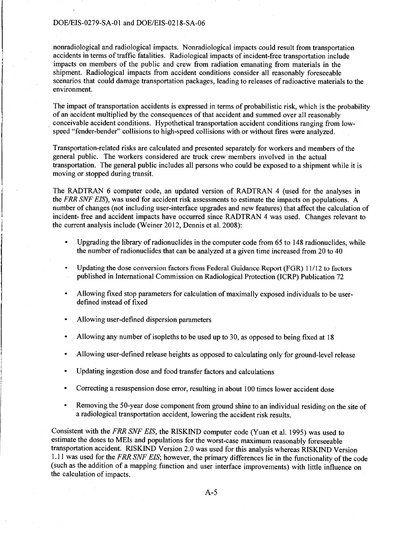nonradiological and radiological impacts. Nonradiological impacts could result from transportation accidents in terms of traffic fatalities. Radiological impacts of incident-free transportation include impacts on members of the public and crew from radiation emanating from materials in the shipment. Radiological impacts from accident conditions consider all reasonably foreseeable scenarios that could damage transportation packages, leading to releases of radioactive materials to the environment.

The impact of transportation accidents is expressed in terms of probabilistic risk, which is the probability of an accident multiplied by the consequences of that accident and summed over all reasonably . conceivable accident conditions. Hypothetical transportation accident conditions ranging from lowspeed "fender-bender" collisions to high-speed collisions with or without fires were analyzed.

Transportation-related risks are calculated and presented separately for workers and members of the general public. The workers considered are truck crew members involved in the actual transportation. The general public includes all persons who could be exposed to a shipment while it is moving or stopped during transit.

The RADTRAN 6 computer code, an updated version of RADTRAN 4 (used for the analyses in the *FRR SNF EIS),* was used for accident risk assessments to estimate the impacts on populations. A number of changes (not including user-interface upgrades and new features) that affect the calculation of incident- free and accident impacts have occurred since RADTRAN 4 was used. Changes relevant to the current analysis include (Weiner 2012, Dennis et al. 2008):

- Upgrading the library of radionuclides in the computer code from 65 to 148 radionuclides, while the number of radionuclides that can be analyzed at a given time increased from 20 to 40
- Updating the dose conversion factors from Federal Guidance Report (FGR) 11112 to factors  $\ddot{\phantom{0}}$ published in International Commission on Radiological Protection (ICRP) Publication 72
- Allowing fixed stop parameters for calculation of maximally exposed individuals to be userdefined instead of fixed
- Allowing user-defined dispersion parameters
- Allowing any number of isopleths to be used up to 30, as opposed to being fixed at 18
- Allowing user-defined release heights as opposed to calculating only for ground-level release
- Updating ingestion dose and food transfer factors and calculations
- Correcting a resuspension dose error, resulting in about 100 times lower accident dose
- Removing the 50-year dose component from ground shine to an individual residing on the site of a radiological transportation accident, lowering the accident risk results.

Consistent with the *FRR SNF EIS,* the RISKIND computer code (Yuan et al. 1995) was used to estimate the doses to MEis and populations for the worst-case maximum reasonably foreseeable transportation accident. RISKIND Version 2.0 was used for this analysis whereas RISKIND Version 1.11 was used for the *FRR SNF EIS;* however, the primary differences lie in the functionality of the code (such as the addition of a mapping function and user interface improvements) with little influence on the calculation of impacts.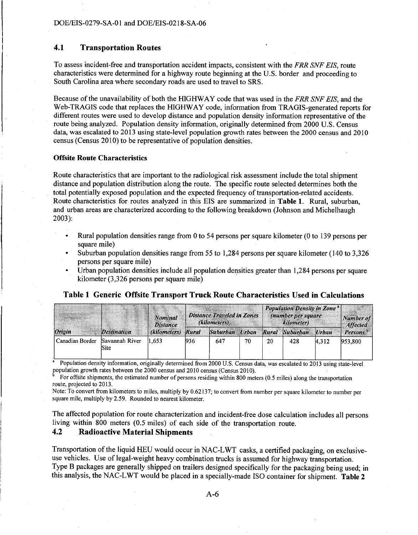## **4.1 Transportation Routes**

To assess incident-free and transportation accident impacts, consistent with the *FRR SNF EIS,* route characteristics were determined for a highway route beginning at the U.S. border and proceeding to South Carolina area where secondary roads are used to travel to SRS.

Because of the unavailability of both the HIGHWAY code that was used in the *FRR SNF EIS,* and the Web-TRAGIS code that replaces the HIGHWAY code, information from TRAGIS-generated reports for different routes were used to develop distance and population density information representative of the route being analyzed. Population density information, originally determined from 2000 U.S. Census data, was escalated to 2013 using state-level population growth rates between the 2000 census and 2010 census (Census 2010) to be representative of population densities.

#### **Offsite Route Characteristics**

Route characteristics that are important to the radiological risk assessment include the total shipment distance and population distribution along the route. The specific route selected determines both the total potentially exposed population and the expected frequency of transportation-related accidents. Route characteristics for routes analyzed in this EIS are summarized in **Table 1.** Rural, suburban, and urban areas are characterized according to the following breakdown (Johnson and Michelhaugh 2003):

- Rural population densities range from 0 to 54 persons per square kilometer (0 to 139 persons per square mile)
- Suburban population densities range from 55 to 1,284 persons per square kilometer (140 to 3,326 persons per square mile)
- Urban population densities include all population densities greater than 1,284 persons per square kilometer (3,326 persons per square mile)

## **Table 1 Generic Offsite Transport Truck Route Characteristics Used in Calculations**

|                 |                        | <b>Nominal</b><br><b>Distance</b> |       | <b>Distance Traveled in Zones</b><br>(kilometers) |    |    | <b>Population Density in Zone<sup>®</sup></b><br>(number per square<br>kilometer) |       | Number of<br><b>Affected</b> |
|-----------------|------------------------|-----------------------------------|-------|---------------------------------------------------|----|----|-----------------------------------------------------------------------------------|-------|------------------------------|
| Origin          | <b>Destination</b>     | (kilometers)                      | Rural | Suburban Urban                                    |    |    | Rural Suburban Urban                                                              |       | Persons <sup>b</sup>         |
| Canadian Border | Savannah River<br>Site | 1.653                             | 936   | 647                                               | 70 | 20 | 428                                                                               | 4.312 | 953,800                      |

• Population density information, originally determined from 2000 U.S. Census data, was escalated to 2013 using state-level population growth rates between the 2000 census and 2010 census (Census 2010).

For offsite shipments, the estimated number of persons residing within 800 meters (0.5 miles) along the transportation route, projected to 2013.

Note: To convert from kilometers to miles, multiply by 0.62137; to convert from number per square kilometer to number per square mile, multiply by 2.59. Rounded to nearest kilometer.

The affected population for route characterization and incident-free dose calculation includes all persons living within 800 meters (0.5 miles) of each side of the transportation route.

## **4.2 Radioactive Material Shipments**

Transportation of the liquid HEU would occur in NAC-L WT casks, a certified packaging, on exclusiveuse vehicles. Use of legal-weight heavy combination trucks is assumed for highway transportation. Type B packages are generally shipped on trailers designed specifically for the packaging being used; in this analysis, the NAC-L WT would be placed in a specially-made ISO container for shipment. **Table 2**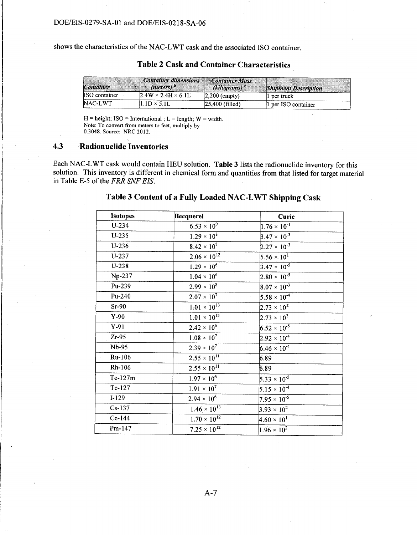shows the characteristics of the NAC-LWT cask and the associated ISO container.

| Container            | Container dimensions<br>( <i>meters</i> ) | Container Mass<br>$(kilograms)^c$ | <b>Shipment Description</b> |
|----------------------|-------------------------------------------|-----------------------------------|-----------------------------|
| <b>ISO</b> container | $2.4W \times 2.4H \times 6.1L$            | $2,200$ (empty)                   | 1 per truck                 |
| NAC-LWT              | $.1D \times 5.1L$                         | 25,400 (filled)                   | 1 per ISO container         |

# Table 2 Cask and Container Characteristics

 $H = height$ ; ISO = International ; L = length; W = width. Note: To convert from meters to feet, multiply by 0.3048. Source: NRC 2012.

## 4.3 Radionuclide Inventories

Each NAC-L WT cask would contain HEU solution. Table 3 lists the radionuclide inventory for this solution. This inventory is different in chemical form and quantities from that listed for target material in Table E-5 of the *FRR SNF EIS.* 

## Table 3 Content of a Fully Loaded NAC-LWT Shipping Cask

| Isotopes  | Becquerel             | Curie                 |
|-----------|-----------------------|-----------------------|
| $U-234$   | $6.53 \times 10^{9}$  | $1.76 \times 10^{-1}$ |
| $U-235$   | $1.29 \times 10^8$    | $3.47 \times 10^{-3}$ |
| $U-236$   | $8.42 \times 10^{7}$  | $2.27 \times 10^{-3}$ |
| $U-237$   | $2.06 \times 10^{12}$ | $5.56 \times 10^{1}$  |
| $U-238$   | $1.29 \times 10^{6}$  | $3.47 \times 10^{-5}$ |
| Np-237    | $1.04 \times 10^{6}$  | $2.80 \times 10^{-5}$ |
| Pu-239    | $2.99 \times 10^{8}$  | $8.07 \times 10^{-3}$ |
| Pu-240    | $2.07 \times 10^{7}$  | $5.58 \times 10^{-4}$ |
| $Sr-90$   | $1.01 \times 10^{13}$ | $2.73 \times 10^{2}$  |
| $Y-90$    | $1.01 \times 10^{13}$ | $2.73 \times 10^{2}$  |
| $Y-91$    | $2.42 \times 10^{6}$  | $6.52 \times 10^{-5}$ |
| $Zr-95$   | $1.08 \times 10^{7}$  | $2.92 \times 10^{-4}$ |
| Nb-95     | $2.39 \times 10^{7}$  | $6.46 \times 10^{-4}$ |
| Ru-106    | $2.55 \times 10^{11}$ | 6.89                  |
| Rh-106    | $2.55 \times 10^{11}$ | 6.89                  |
| $Te-127m$ | $1.97 \times 10^{6}$  | $5.33 \times 10^{-5}$ |
| Te-127    | $1.91 \times 10^{7}$  | $5.15 \times 10^{-4}$ |
| $I-129$   | $2.94 \times 10^{6}$  | $7.95 \times 10^{-5}$ |
| $Cs-137$  | $1.46 \times 10^{13}$ | $3.93 \times 10^{2}$  |
| Ce-144    | $1.70 \times 10^{12}$ | $4.60 \times 10^{1}$  |
| Pm-147    | $7.25 \times 10^{12}$ | $1.96 \times 10^{2}$  |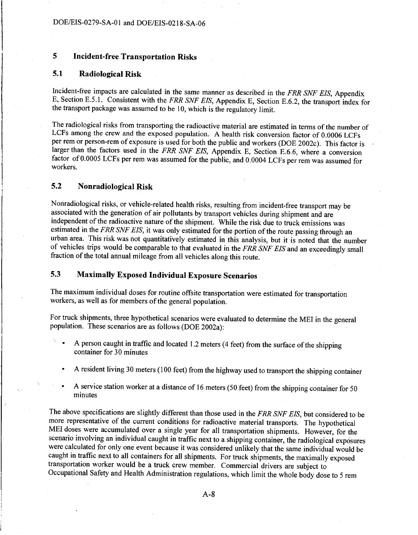# **5 Incident-free Transportation Risks**

### **5.1 Radiological Risk**

Incident-free impacts are calculated in the same manner as described in the *FRR SNF EIS,* Appendix E, Section E.5.1. Consistent with the *FRR SNF EIS,* Appendix E, Section E.6.2, the transport index for the transport package was assumed to be 10, which is the regulatory limit.

The radiological risks from transporting the radioactive material are estimated in terms of the number of LCFs among the crew and the exposed population. A health risk conversion factor of 0.0006 LCFs per rem or person-rem of exposure is used for both the public and workers (DOE 2002c ). This factor is larger than the factors used in the *FRR SNF EIS,* Appendix E, Section E.6.6, where a conversion factor of 0.0005 LCFs per rem was assumed for the public, and 0.0004 LCFs per rem was assumed for workers.

# **5.2 Nonradiological Risk**

Nonradiological risks, or vehicle-related health risks, resulting from incident-free transport may be associated with the generation of air pollutants by transport vehicles during shipment and are independent of the radioactive nature of the shipment. While the risk due to truck emissions was estimated in the *FRR SNF EIS,* it was only estimated for the portion of the route passing through an urban area. This risk was not quantitatively estimated in this analysis, but it is noted that the number of vehicles trips would be comparable to that evaluated in the *FRR SNF EIS* and an exceedingly small fraction of the total annual mileage from all vehicles along this route.

## **5.3 Maximally Exposed Individual Exposure Scenarios**

The maximum individual doses for routine offsite transportation were estimated for transportation workers, as well as for members of the general population.

For truck shipments, three hypothetical scenarios were evaluated to determine the MEI in the general population. These scenarios are as follows (DOE 2002a):

- A person caught in traffic and located 1.2 meters (4 feet) from the surface of the shipping container for 30 minutes
- A resident living 30 meters (100 feet) from the highway used to transport the shipping container
- A service station worker at a distance of 16 meters (50 feet) from the shipping container for 50 minutes

The above specifications are slightly different than those used in the *FRR SNF EIS,* but considered to be more representative of the current conditions for radioactive material transports. The hypothetical MEI doses were accumulated over a single year for all transportation shipments. However, for the scenario involving an individual caught in traffic next to a shipping container, the radiological exposures were calculated for only one event because it was considered unlikely that the same individual would be caught in traffic next to all containers for all shipments. For truck shipments, the maximally exposed transportation worker would be a truck crew member. Commercial drivers are subject to Occupational Safety and Health Administration regulations, which limit the whole body dose to 5 rem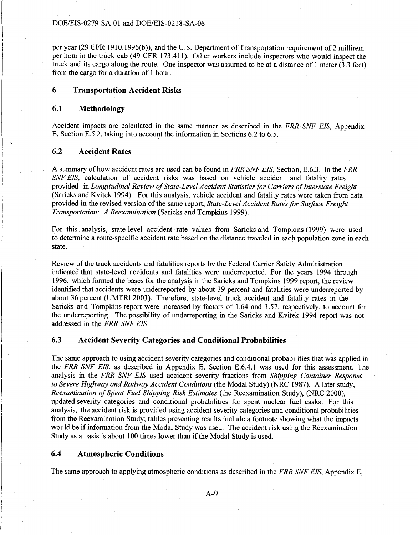per year (29 CFR 1910.1996(b)), and the U.S. Department of Transportation requirement of 2 millirem per hour in the truck cab ( 49 CFR 173 .411 ). Other workers include inspectors who would inspect the truck and its cargo along the route. One inspector was assumed to be at a distance of 1 meter (3.3 feet) from the cargo for a duration of 1 hour.

## **6 Transportation Accident Risks**

#### **6.1 Methodology**

Accident impacts are calculated in the same manner as described in the *FRR SNF EIS,* Appendix E, Section E.5.2, taking into account the information in Sections  $6.2$  to  $6.5$ .

#### **6.2 Accident Rates**

A summary of how accident rates are used can be found in *FRR SNF EIS,* Section, E.6.3. In the *FRR SNF EIS,* calculation of accident risks was based on vehicle accident and fatality rates provided in *Longitudinal Review of State-Level Accident Statistics for Carriers of Interstate Freight*  (Saricks and Kvitek 1994). For this analysis, vehicle accident and fatality rates were taken from data provided in the revised version of the same report, *State-Level Accident Rates for Surface Freight Transportation: A Reexamination* (Saricks and Tompkins 1999).

For this analysis, state-level accident rate values from Saricks and Tompkins (1999) were used to determine a route-specific accident rate based on the distance traveled in each population zone in each state.

Review of the truck accidents and fatalities reports by the Federal Carrier Safety Administration indicated that state-level accidents and fatalities were underreported. For the years 1994 through 1996, which formed the bases for"the analysis in the Saricks and Tompkins 1999 report, the review identified that accidents were underreported by about 39 percent and fatalities were underreported by about 36 percent (UMTRI 2003). Therefore, state-level truck accident and fatality rates in the Saricks and Tompkins report were increased by factors of 1.64 and 1.57, respectively, to account for the underreporting. The possibility of underreporting in the Saricks and Kvitek 1994 report was not addressed in the *FRR SNF EIS.* 

## **6.3 Accident Severity Categories and Conditional Probabilities**

The same approach to using accident severity categories and conditional probabilities that was applied in the *FRR SNF EIS,* as described in Appendix E, Section E.6.4.l was used for this assessment. The analysis in the *FRR SNF EIS* used accident severity fractions from *Shipping Container Response to Severe Highway and Railway Accident Conditions* (the Modal Study) (NRC 1987). A later study, *Reexamination of Spent Fuel Shipping Risk Estimates* (the Reexamination Study), (NRC 2000), updated severity categories and conditional probabilities for spent nuclear fuel casks. For this analysis, the accident risk is provided using accident severity categories and conditional probabilities from the Reexamination Study; tables presenting results include a footnote showing what the impacts would be if information from the Modal Study was used. The accident risk using the Reexamination Study as a basis is about 100 times lower than if the Modal Study is used.

#### **6.4 Atmospheric Conditions**

The same approach to applying atmospheric conditions as described in the *FRR SNF EIS,* Appendix E,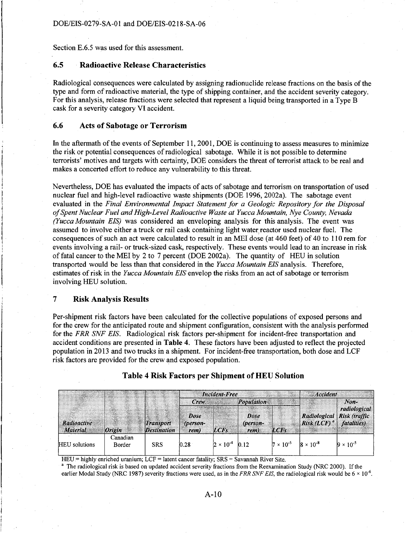Section E.6.5 was used for this assessment.

### 6.5 Radioactive Release Characteristics

Radiological consequences were calculated by assigning radionuclide release fractions on the basis of the type and form of radioactive material, the type of shipping container, and the accident severity category. For this analysis, release fractions were selected that represent a liquid being transported in a Type B cask for a severity category VI accident.

#### 6.6 Acts of Sabotage or Terrorism

In the aftermath of the events of September 11, 2001, DOE is continuing to assess measures to minimize the risk or potential consequences of radiological sabotage. While it is not possible to determine terrorists' motives and targets with certainty, DOE considers the threat of terrorist attack to be real and makes a concerted effort to reduce any vulnerability to this threat.

Nevertheless, DOE has evaluated the impacts of acts of sabotage and terrorism on transportation of used nuclear fuel and high-level radioactive waste shipments (DOE 1996, 2002a). The sabotage event evaluated in the *Final Environmental Impact Statement for a Geologic Repository for the Disposal of Spent Nuclear Fuel and High-Level Radioactive Waste at Yucca Mountain, Nye County, Nevada (Yucca Mountain EIS)* was considered an enveloping analysis for this analysis. The event was assumed to involve either a truck or rail cask containing light water reactor used nuclear fuel. The consequences of such an act were calculated to result in an MEI dose (at 460 feet) of 40 to 110 rem for events involving a rail- or truck-sized cask, respectively. These events would lead to an increase in risk of fatal cancer to the MEI by 2 to 7 percent (DOE 2002a). The quantity of HEU in solution transported would be less than that considered in the *Yucca Mountain EIS* analysis. Therefore, estimates of risk in the *Yucca Mountain EIS* envelop the risks from an act of sabotage or terrorism involving HEU solution.

#### 7 Risk Analysis Results

Per-shipment risk factors have been calculated for the collective populations of exposed persons and for the crew for the anticipated route and shipment configuration, consistent with the analysis performed for the *FRR SNF EIS.* Radiological risk factors per-shipment for incident-free transportation and accident conditions are presented in Table 4. These factors have been adjusted to reflect the projected population in 2013 and two trucks in a shipment. For incident-free transportation, both dose and LCF risk factors are provided for the crew and exposed population.

|                                |          |                                 | <b>Incident-Free</b>     |                    |                                       |                    | <b>Accident</b>                                            |                        |  |
|--------------------------------|----------|---------------------------------|--------------------------|--------------------|---------------------------------------|--------------------|------------------------------------------------------------|------------------------|--|
| Radioactive<br><b>Material</b> | Origin   | Transport<br><b>Destination</b> | Crew<br>Dose<br>(person- | <b>LCFs</b>        | <b>Population</b><br>Dose<br>(person- | LCFs               | Radiological Risk (traffic<br>$Risk (LCF)^{a}$ fatalities) | $Non-$<br>radiological |  |
|                                | Canadian |                                 | rem)                     |                    | rem)                                  |                    |                                                            |                        |  |
| <b>HEU</b> solutions           | Border   | <b>SRS</b>                      | 0.28                     | $2 \times 10^{-4}$ | $ 012\rangle$                         | $7 \times 10^{-5}$ | $8 \times 10^{-8}$                                         | $9 \times 10^{-5}$     |  |

Table 4 Risk Factors per Shipment of HEU Solution

HEU = highly enriched uranium; LCF = latent cancer fatality; SRS = Savannah River Site.

<sup>a</sup> The radiological risk is based on updated accident severity fractions from the Reexamination Study (NRC 2000). If the earlier Modal Study (NRC 1987) severity fractions were used, as in the *FRR SNF EIS*, the radiological risk would be  $6 \times 10^{-6}$ .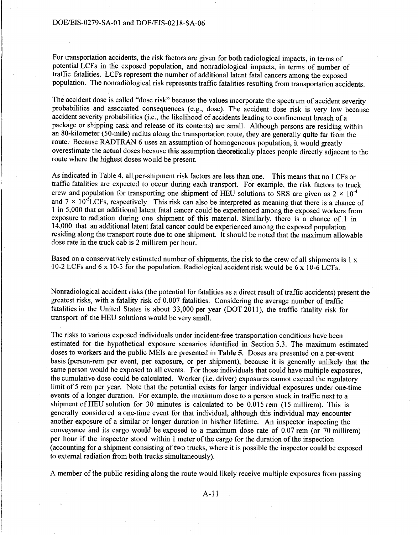For transportation accidents, the risk factors are given for both radiological impacts, in terms of potential LCFs in the exposed population, and nonradiological impacts, in terms of number of traffic fatalities. LCFs represent the number of additional latent fatal cancers among the exposed population. The nonradiological risk represents traffic fatalities resulting from transportation accidents.

The accident dose is called "dose risk" because the values incorporate the spectrum of accident severity probabilities and associated consequences (e.g., dose). The accident dose risk is very low because accident severity probabilities (i.e., the likelihood of accidents leading to confinement breach of a package or shipping cask and release of its contents) are small. Although persons are residing within an 80-kilometer (50-mile) radius along the transportation route, they are generally quite far from the route. Because RADTRAN 6 uses an assumption of homogeneous population, it would greatly overestimate the actual doses because this assumption theoretically places people directly adjacent to the route where the highest doses would be present.

As indicated in Table 4, all per-shipment risk factors are less than one. This means that no LCFs or traffic fatalities are expected to occur during each transport. For example, the risk factors to truck crew and population for transporting one shipment of HEU solutions to SRS are given as  $2 \times 10^{-4}$ and  $7 \times 10^{-5}$ LCFs, respectively. This risk can also be interpreted as meaning that there is a chance of 1 in 5,000 that an additional latent fatal cancer could be experienced among the exposed workers from exposure to radiation during one shipment of this material. Similarly, there is a chance of 1 in 14,000 that an additional latent fatal cancer could be experienced among the exposed population residing along the transport route due to one shipment. It should be noted that the maximum allowable dose rate in the truck cab is 2 millirem per hour.

Based on a conservatively estimated number of shipments, the risk to the crew of all shipments is  $1 \times$ 10-2 LCFs and 6 x 10-3 for the population. Radiological accident risk would be 6 x 10-6 LCFs.

Nonradiological accident risks (the potential for fatalities as a direct result of traffic accidents) present the greatest risks, with a fatality risk of 0.007 fatalities. Considering the average number of traffic fatalities in the United States is about 33,000 per year (DOT 2011), the traffic fatality risk for transport of the HEU solutions would be very small.

The risks to various exposed individuals under incident-free transportation conditions have been estimated for the hypothetical exposure scenarios identified in Section 5.3. The maximum estimated doses to workers and the public MEis are presented in **Table** 5. Doses are presented on a per-event basis (person-rem per event, per exposure, or per shipment), because it is generally unlikely that the same person would be exposed to all events. For those individuals that could have multiple exposures, the cumulative dose could be calculated. Worker (i.e. driver) exposures cannot exceed the regulatory limit of 5 rem per year. Note that the potential exists for larger individual exposures under one-time events of a longer duration. For example, the maximum dose to a person stuck in traffic next to a shipment of HEU solution for 30 minutes is calculated to be 0.015 rem (15 millirem). This is generally considered a one-time event for that individual, although this individual may encounter another exposure of a similar or longer duration in his/her lifetime. An inspector inspecting the conveyance and its cargo would be exposed to a maximum dose rate of 0.07 rem (or 70 millirem) per hour if the inspector stood within 1 meter of the cargo for the duration of the inspection (accounting for a shipment consisting of two trucks, where it is possible the inspector could be exposed to external radiation from both trucks simultaneously).

A member of the public residing along the route would likely receive multiple exposures from passing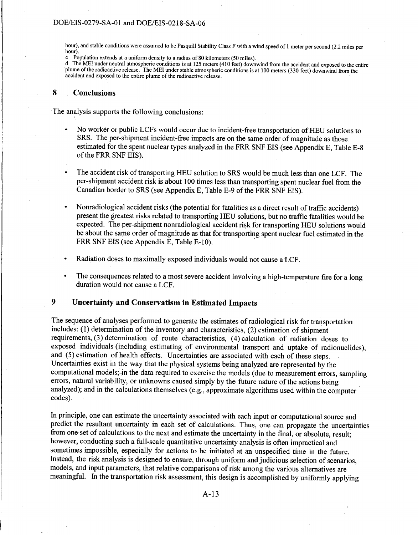hour), and stable conditions were assumed to be Pasquill Stability Class F with a wind speed of I meter per second (2.2 miles per hour).<br>c Po

c Population extends at a uniform density to a radius of 80 kilometers (50 miles).<br>d The MEI under neutral atmospheric conditions is at 125 meters (410 feet) down

The MEI under neutral atmospheric conditions is at 125 meters (410 feet) downwind from the accident and exposed to the entire plume of the radioactive release. The MEI under stable atmospheric conditions is at 100 meters (330 feet) downwind from the accident and exposed to the entire plume of the radioactive release.

#### **8 Conclusions**

The analysis supports the following conclusions:

- No worker or public LCFs would occur due to incident-free transportation of HEU solutions to SRS. The per-shipment incident-free impacts are on the same order of magnitude as those estimated for the spent nuclear types analyzed in the FRR SNF EIS (see Appendix E, Table E-8 of the FRR SNF EIS).
- The accident risk of transporting HEU solution to SRS would be much less than one LCF. The per-shipment accident risk is about 100 times less than transporting spent nuclear fuel from the Canadian border to SRS (see Appendix E, Table E-9 of the FRR SNF EIS).
- Nonradiological accident risks (the potential for fatalities as a direct result of traffic accidents) present the greatest risks related to transporting HEU solutions, but no traffic fatalities would be expected. The per-shipment nonradiological accident risk for transporting HEU solutions would be about the same order of magnitude as that for transporting spent nuclear fuel estimated in the FRR SNF EIS (see Appendix E, Table E-10).
- Radiation doses to maximally exposed individuals would not cause a LCF.
- The consequences related to a most severe accident involving a high-temperature fire for a long  $\bullet$ duration would not cause a LCF.

## **9 Uncertainty and Conservatism in Estimated Impacts**

The sequence of analyses performed to generate the estimates of radiological risk for transportation includes: ( 1) determination of the inventory and characteristics, (2) estimation of shipment requirements, (3) determination of route characteristics, (4) calculation of radiation doses to exposed individuals (including estimating of environmental transport and uptake of radionuclides), and (5) estimation of health effects. Uncertainties are associated with each of these steps. Uncertainties exist in the way that the physical systems being analyzed are represented by the computational models;-in the data required to exercise the models (due to measurement errors, sampling errors, natural variability, or unknowns caused simply by the future nature of the actions being analyzed); and in the calculations themselves (e.g., approximate algorithms used within the computer codes).

In principle, one can estimate the uncertainty associated with each input or computational source and predict the resultant uncertainty in each set of calculations. Thus, one can propagate the uncertainties from one set of calculations to the next and estimate the uncertainty in the final, or absolute, result; however, conducting such a full-scale quantitative uncertainty analysis is often impractical and sometimes impossible, especially for actions to be initiated at an unspecified time in the future. Instead, the risk analysis is designed to ensure, through uniform and judicious selection of scenarios, models, and input parameters, that relative comparisons of risk among the various alternatives are meaningful. In the transportation risk assessment, this design is accomplished by uniformly applying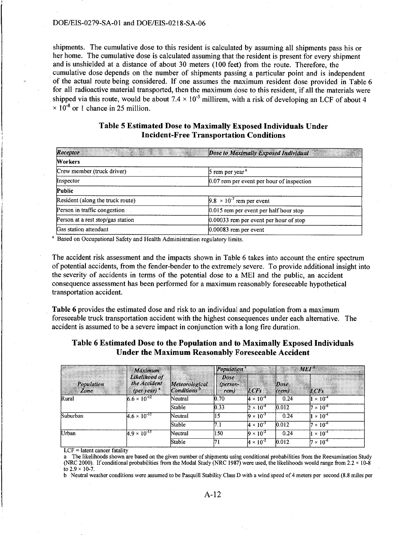shipments. The cumulative dose to this resident is calculated by assuming all shipments pass his or her home. The cumulative dose is calculated assuming that the resident is present for every shipment and is unshielded at a distance of about 30 meters (100 feet) from the route. Therefore, the cumulative dose depends on the number of shipments passing a particular point and is independent of the actual route being considered. If one assumes the maximum resident dose provided in Table 6 for all radioactive material transported, then the maximum dose to this resident, if all the materials were shipped via this route, would be about  $7.4 \times 10^{-5}$  millirem, with a risk of developing an LCF of about 4  $\times$  10<sup>-8</sup> or 1 chance in 25 million.

## Table 5 Estimated Dose to Maximally Exposed Individuals Under Incident-Free Transportation Conditions

| AND THE STATE OF STREET<br>Receptor | Dose to Maximally Exposed Individual        |
|-------------------------------------|---------------------------------------------|
| Workers                             |                                             |
| Crew member (truck driver)          | $5$ rem per year $a$                        |
| Inspector                           | $0.07$ rem per event per hour of inspection |
| Public                              |                                             |
| Resident (along the truck route)    | $9.8 \times 10^{-7}$ rem per event          |
| Person in traffic congestion        | 0.015 rem per event per half hour stop      |
| Person at a rest stop/gas station   | $0.00033$ rem per event per hour of stop    |
| Gas station attendant               | $0.00083$ rem per event                     |

<sup>a</sup> Based on Occupational Safety and Health Administration regulatory limits.

The accident risk assessment and the impacts shown in Table 6 takes into account the entire spectrum of potential accidents, from the fender-bender to the extremely severe. To provide additional insight into the severity of accidents in terms of the potential dose to a MEI and the public, an accident consequence assessment has been performed for a maximum reasonably foreseeable hypothetical transportation accident.

Table 6 provides the estimated dose and risk to an individual and population from a maximum foreseeable truck transportation accident with the highest consequences under each alternative. The accident is assumed to be a severe impact in conjunction with a long fire duration.

## Table 6 Estimated Dose to the Population and to Maximally Exposed Individuals Under the Maximum Reasonably Foreseeable Accident

|                    | <b>Maximum</b><br>Likelihood of<br>the Accident<br>(per year) $^{\circ}$ | Meteorological<br>$\mathcal{L}$ conditions $\mathcal{L}$ | Population <sup>c</sup>         | $MEI^d$            |               |                           |
|--------------------|--------------------------------------------------------------------------|----------------------------------------------------------|---------------------------------|--------------------|---------------|---------------------------|
| Population<br>Zone |                                                                          |                                                          | <b>Dose</b><br>(person-<br>rem) | LCFs               | Dose<br>(rem) | <b>LCFs</b>               |
| Rural              | $6.6 \times 10^{-12}$                                                    | Neutral                                                  | 0.70                            | $4 \times 10^{-4}$ | 0.24          | $\times 10^{-4}$          |
|                    |                                                                          | Stable                                                   | 0.33                            | $2 \times 10^{-4}$ | 0.012         | $7 \times 10^{-6}$        |
| Suburban           | $4.6 \times 10^{-12}$                                                    | Neutral                                                  | l15                             | $9 \times 10^{-3}$ | 0.24          | $\times 10^{-4}$          |
|                    |                                                                          | Stable                                                   | 17.1                            | $4 \times 10^{-3}$ | 0.012         | $7 \times 10^{-6}$        |
| Urban              | $4.9 \times 10^{-13}$                                                    | Neutral                                                  | 150                             | $9 \times 10^{-2}$ | 0.24          | $\times$ 10 <sup>-4</sup> |
|                    |                                                                          | Stable                                                   | 171                             | $4 \times 10^{-2}$ | 0.012         | $7 \times 10^{-6}$        |

LCF = latent cancer fatality

a The likelihoods shown are based on the given number of shipments using conditional probabilities from the Reexamination Study (NRC 2000). If conditional probabilities from the Modal Study (NRC 1987) were used, the likelihoods would range from  $2.2 \times 10\text{-}8$ to  $2.9 \times 10^{-7}$ .

b Neutral weather conditions were assumed to be Pasquill Stability Class D with a wind speed of 4 meters per second (8.8 miles per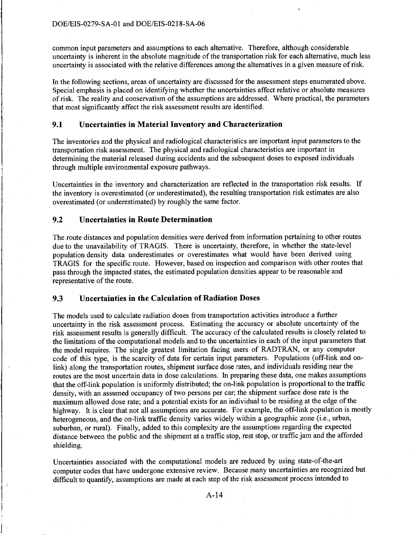common input parameters and assumptions to each alternative. Therefore, although considerable uncertainty is inherent in the absolute magnitude of the transportation risk for each alternative, much less uncertainty is associated with the relative differences among the alternatives in a given measure of risk.

In the following sections, areas of uncertainty are discussed for the assessment steps enumerated above. Special emphasis is placed on identifying whether the uncertainties affect relative or absolute measures of risk. The reality and conservatism of the assumptions are addressed. Where practical, the parameters that most significantly affect the risk assessment results are identified.

#### **9.1 Uncertainties in Material Inventory and Characterization**

The inventories and the physical and radiological characteristics are important input parameters to the transportation risk assessment. The physical and radiological characteristics are important in determining the material released during accidents and the subsequent doses to exposed individuals through multiple environmental exposure pathways.

Uncertainties in the inventory and characterization are reflected in the transportation risk results. If the inventory is overestimated (or underestimated), the resulting transportation risk estimates are also overestimated (or underestimated) by roughly the same factor.

#### **9.2 Uncertainties in Route Determination**

 $\left| \begin{array}{c} \circ \\ \circ \end{array} \right|$ 

!

The route distances and population densities were derived from information pertaining to other routes due to the unavailability of TRAGIS. There is uncertainty, therefore, in whether the state-level population density data underestimates or overestimates what would have been derived using TRAGIS for the specific route. However, based on inspection and comparison with other routes that pass through the impacted states, the estimated population densities appear to be reasonable and representative of the route.

## **9.3 Uncertainties in the Calculation of Radiation Doses**

The models used to calculate radiation doses from transportation activities introduce a further uncertainty in the risk assessment process. Estimating the accuracy or absolute uncertainty of the risk assessment results is generally difficult. The accuracy of the calculated results is closely related to the limitations of the computational models and to the uncertainties in each of the input parameters that the model requires. The single greatest limitation facing users of RADTRAN, or any computer code of this type, is the scarcity of data for certain input parameters. Populations (off-link and onlink) along the transportation routes, shipment surface dose rates, and individuals residing near the routes are the most uncertain data in dose calculations. In preparing these data, one makes assumptions that the off-link population is uniformly distributed; the on-link population is proportional to the traffic density, with an assumed occupancy of two persons per car; the shipment surface dose rate is the maximum allowed dose rate; and a potential exists for an individual to be residing at the edge of the highway. It is clear that not all assumptions are accurate. For example, the off-link population is mostly heterogeneous, and the on-link traffic density varies widely within a geographic zone (i.e., urban, suburban, or rural). Finally, added to this complexity are the assumptions regarding the expected distance between the public and the shipment at a traffic stop, rest stop, or traffic jam and the afforded shielding.

Uncertainties associated with the computational models are reduced by using state-of-the-art computer codes that have undergone extensive review. Because many uncertainties are recognized but difficult to quantify, assumptions are made at each step of the risk assessment process intended to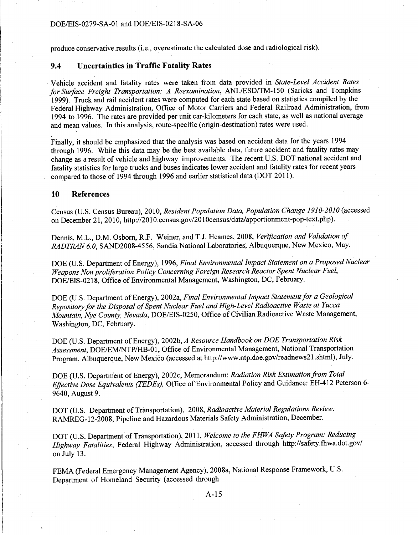produce conservative results (i.e., overestimate the calculated dose and radiological risk).

### . **9.4 Uncertainties in Traffic Fatality Rates**

Vehicle accident and fatality rates were taken from data provided in *State-Level Accident Rates for Surface Freight Transportation: A Reexamination,* ANL/ESD/TM-150 (Saricks and Tompkins 1999). Truck and rail accident rates were computed for each state based on statistics compiled by the Federal Highway Administration, Office of Motor Carriers and Federal Railroad Administration, from 1994 to 1996. The rates are provided per unit car-kilometers for each state, as well as national average and mean values. In this analysis, route-specific (origin-destination) rates were used.

Finally, it should be emphasized that the analysis was based on accident data for the years 1994 through 1996. While this data may be the best available data, future accident and fatality rates may change as a result of vehicle and highway improvements. The recent U.S. DOT national accident and fatality statistics for large trucks and buses indicates lower accident and fatality rates for recent years compared to those of 1994 through 1996 and earlier statistical data (DOT 2011 ).

#### **10 References**

Census (U.S. Census Bureau), 2010, *Resident Population Data, Population Change 1910-2010* (accessed on December 21, 2010, http://201O.census.gov/201 Ocensus/data/apportionment-pop-text.php ).

Dennis, M.L., D.M. Osborn, R.F. Weiner, and T.J. Reames, 2008, *Verification and Validation of RADTRAN 6. 0,* SAND2008-4556, Sandia National Laboratories, Albuquerque, New Mexico, May.

DOE (U.S. Department of Energy), 1996, *Final Environmental Impact Statement on a Proposed Nuclear Weapons Non proliferation Policy Concerning Foreign Research Reactor Spent Nuclear Fuel,*  DOE/EIS-0218, Office of Environmental Management, Washington, DC, February.

DOE (U.S. Department of Energy), 2002a, *Final Environmental Impact Statement for a Geological Repository for the Disposal of Spent Nuclear Fuel and High-Level Radioactive Waste at Yucca Mountain, Nye County, Nevada,* DOE/EIS-0250, Office of Civilian Radioactive Waste Management, Washington, DC, February.

DOE (U.S. Department of Energy), 2002b, *A Resource Handbook on DOE Transportation Risk Assessment,* DOE/EM/NTP/HB-01, Office of Environmental Management, National Transportation Program, Albuquerque, New Mexico (accessed at http://www.ntp.doe.gov/readnews21.shtml), July.

DOE (U.S. Department of Energy), 2002c, Memorandum: *Radiation Risk Estimation from Total Effective Dose Equivalents (TEDEs),* Office of Environmental Policy and Guidance: EH-412 Peterson 6- 9640, August 9.

DOT (U.S. Department of Transportation), 2008, *Radioactive Material Regulations Review,*  RAMREG-12-2008, Pipeline and Hazardous Materials Safety Administration, December.

DOT (U.S. Department of Transportation), 2011, *Welcome to the FHWA Safety Program: Reducing Highway Fatalities,* Federal Highway Administration, accessed through http://safety.thwa.dot.gov/ on July 13.

FEMA (Federal Emergency Management Agency), 2008a, National Response Framework, U.S. Department of Homeland Security (accessed through

A-15